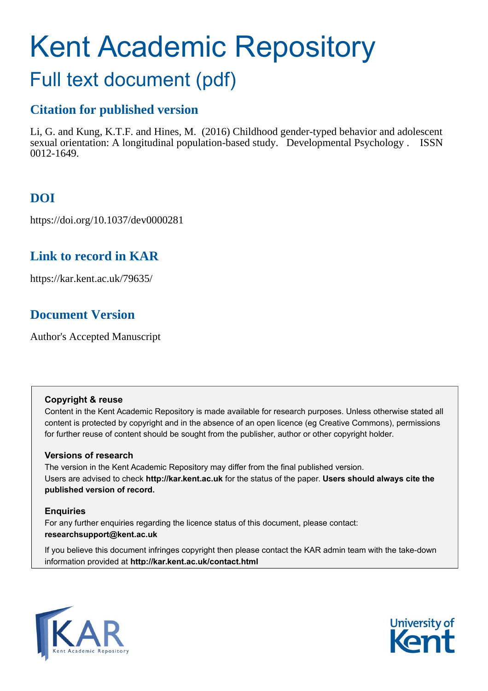# Kent Academic Repository

## Full text document (pdf)

## **Citation for published version**

Li, G. and Kung, K.T.F. and Hines, M. (2016) Childhood gender-typed behavior and adolescent sexual orientation: A longitudinal population-based study. Developmental Psychology . ISSN 0012-1649.

## **DOI**

https://doi.org/10.1037/dev0000281

### **Link to record in KAR**

https://kar.kent.ac.uk/79635/

## **Document Version**

Author's Accepted Manuscript

#### **Copyright & reuse**

Content in the Kent Academic Repository is made available for research purposes. Unless otherwise stated all content is protected by copyright and in the absence of an open licence (eg Creative Commons), permissions for further reuse of content should be sought from the publisher, author or other copyright holder.

#### **Versions of research**

The version in the Kent Academic Repository may differ from the final published version. Users are advised to check **http://kar.kent.ac.uk** for the status of the paper. **Users should always cite the published version of record.**

#### **Enquiries**

For any further enquiries regarding the licence status of this document, please contact: **researchsupport@kent.ac.uk**

If you believe this document infringes copyright then please contact the KAR admin team with the take-down information provided at **http://kar.kent.ac.uk/contact.html**



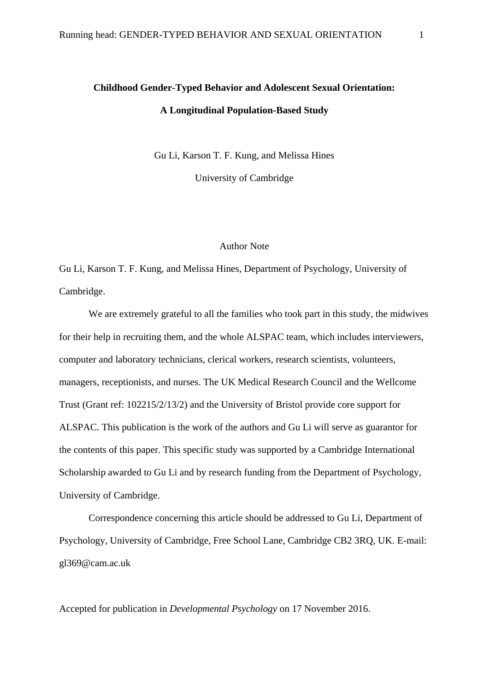## **Childhood Gender-Typed Behavior and Adolescent Sexual Orientation: A Longitudinal Population-Based Study**

Gu Li, Karson T. F. Kung, and Melissa Hines

University of Cambridge

#### Author Note

Gu Li, Karson T. F. Kung, and Melissa Hines, Department of Psychology, University of Cambridge.

We are extremely grateful to all the families who took part in this study, the midwives for their help in recruiting them, and the whole ALSPAC team, which includes interviewers, computer and laboratory technicians, clerical workers, research scientists, volunteers, managers, receptionists, and nurses. The UK Medical Research Council and the Wellcome Trust (Grant ref: 102215/2/13/2) and the University of Bristol provide core support for ALSPAC. This publication is the work of the authors and Gu Li will serve as guarantor for the contents of this paper. This specific study was supported by a Cambridge International Scholarship awarded to Gu Li and by research funding from the Department of Psychology, University of Cambridge.

Correspondence concerning this article should be addressed to Gu Li, Department of Psychology, University of Cambridge, Free School Lane, Cambridge CB2 3RQ, UK. E-mail: [gl369@cam.ac.uk](mailto:gl369@cam.ac.uk)

Accepted for publication in *Developmental Psychology* on 17 November 2016.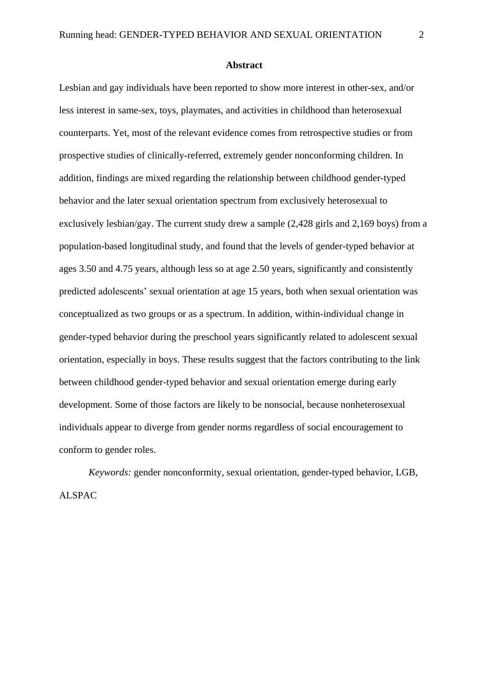#### **Abstract**

Lesbian and gay individuals have been reported to show more interest in other-sex, and/or less interest in same-sex, toys, playmates, and activities in childhood than heterosexual counterparts. Yet, most of the relevant evidence comes from retrospective studies or from prospective studies of clinically-referred, extremely gender nonconforming children. In addition, findings are mixed regarding the relationship between childhood gender-typed behavior and the later sexual orientation spectrum from exclusively heterosexual to exclusively lesbian/gay. The current study drew a sample (2,428 girls and 2,169 boys) from a population-based longitudinal study, and found that the levels of gender-typed behavior at ages 3.50 and 4.75 years, although less so at age 2.50 years, significantly and consistently predicted adolescents' sexual orientation at age 15 years, both when sexual orientation was conceptualized as two groups or as a spectrum. In addition, within-individual change in gender-typed behavior during the preschool years significantly related to adolescent sexual orientation, especially in boys. These results suggest that the factors contributing to the link between childhood gender-typed behavior and sexual orientation emerge during early development. Some of those factors are likely to be nonsocial, because nonheterosexual individuals appear to diverge from gender norms regardless of social encouragement to conform to gender roles.

*Keywords:* gender nonconformity, sexual orientation, gender-typed behavior, LGB, ALSPAC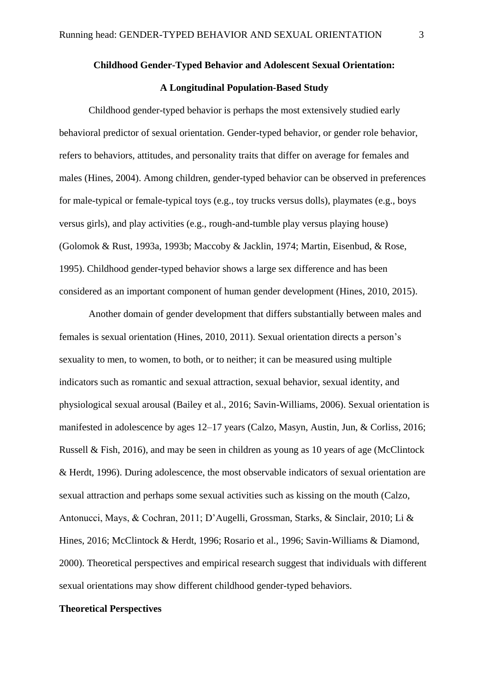#### **Childhood Gender-Typed Behavior and Adolescent Sexual Orientation:**

#### **A Longitudinal Population-Based Study**

Childhood gender-typed behavior is perhaps the most extensively studied early behavioral predictor of sexual orientation. Gender-typed behavior, or gender role behavior, refers to behaviors, attitudes, and personality traits that differ on average for females and males (Hines, 2004). Among children, gender-typed behavior can be observed in preferences for male-typical or female-typical toys (e.g., toy trucks versus dolls), playmates (e.g., boys versus girls), and play activities (e.g., rough-and-tumble play versus playing house) (Golomok & Rust, 1993a, 1993b; Maccoby & Jacklin, 1974; Martin, Eisenbud, & Rose, 1995). Childhood gender-typed behavior shows a large sex difference and has been considered as an important component of human gender development (Hines, 2010, 2015).

Another domain of gender development that differs substantially between males and females is sexual orientation (Hines, 2010, 2011). Sexual orientation directs a person's sexuality to men, to women, to both, or to neither; it can be measured using multiple indicators such as romantic and sexual attraction, sexual behavior, sexual identity, and physiological sexual arousal (Bailey et al., 2016; Savin-Williams, 2006). Sexual orientation is manifested in adolescence by ages 12–17 years (Calzo, Masyn, Austin, Jun, & Corliss, 2016; Russell & Fish, 2016), and may be seen in children as young as 10 years of age (McClintock & Herdt, 1996). During adolescence, the most observable indicators of sexual orientation are sexual attraction and perhaps some sexual activities such as kissing on the mouth (Calzo, Antonucci, Mays, & Cochran, 2011; D'Augelli, Grossman, Starks, & Sinclair, 2010; Li & Hines, 2016; McClintock & Herdt, 1996; Rosario et al., 1996; Savin-Williams & Diamond, 2000). Theoretical perspectives and empirical research suggest that individuals with different sexual orientations may show different childhood gender-typed behaviors.

#### **Theoretical Perspectives**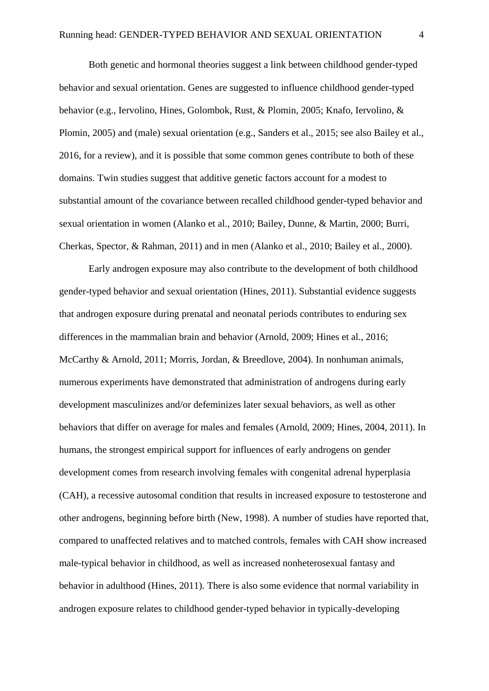Both genetic and hormonal theories suggest a link between childhood gender-typed behavior and sexual orientation. Genes are suggested to influence childhood gender-typed behavior (e.g., Iervolino, Hines, Golombok, Rust, & Plomin, 2005; Knafo, Iervolino, & Plomin, 2005) and (male) sexual orientation (e.g., Sanders et al., 2015; see also Bailey et al., 2016, for a review), and it is possible that some common genes contribute to both of these domains. Twin studies suggest that additive genetic factors account for a modest to substantial amount of the covariance between recalled childhood gender-typed behavior and sexual orientation in women (Alanko et al., 2010; Bailey, Dunne, & Martin, 2000; Burri, Cherkas, Spector, & Rahman, 2011) and in men (Alanko et al., 2010; Bailey et al., 2000).

Early androgen exposure may also contribute to the development of both childhood gender-typed behavior and sexual orientation (Hines, 2011). Substantial evidence suggests that androgen exposure during prenatal and neonatal periods contributes to enduring sex differences in the mammalian brain and behavior (Arnold, 2009; Hines et al., 2016; McCarthy & Arnold, 2011; Morris, Jordan, & Breedlove, 2004). In nonhuman animals, numerous experiments have demonstrated that administration of androgens during early development masculinizes and/or defeminizes later sexual behaviors, as well as other behaviors that differ on average for males and females (Arnold, 2009; Hines, 2004, 2011). In humans, the strongest empirical support for influences of early androgens on gender development comes from research involving females with congenital adrenal hyperplasia (CAH), a recessive autosomal condition that results in increased exposure to testosterone and other androgens, beginning before birth (New, 1998). A number of studies have reported that, compared to unaffected relatives and to matched controls, females with CAH show increased male-typical behavior in childhood, as well as increased nonheterosexual fantasy and behavior in adulthood (Hines, 2011). There is also some evidence that normal variability in androgen exposure relates to childhood gender-typed behavior in typically-developing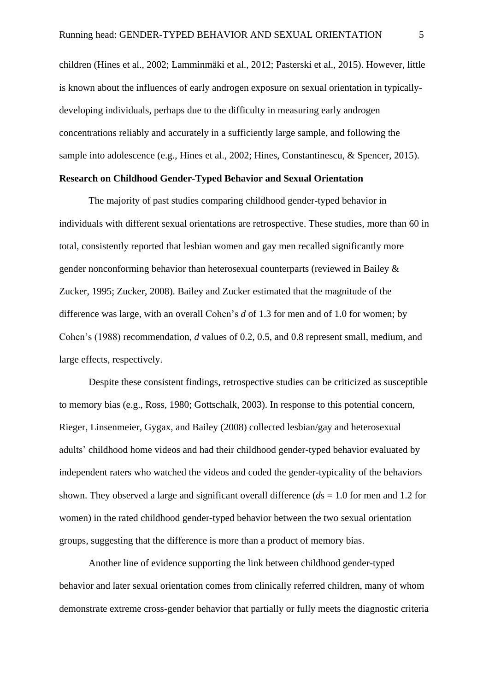children (Hines et al., 2002; Lamminmäki et al., 2012; Pasterski et al., 2015). However, little is known about the influences of early androgen exposure on sexual orientation in typicallydeveloping individuals, perhaps due to the difficulty in measuring early androgen concentrations reliably and accurately in a sufficiently large sample, and following the sample into adolescence (e.g., Hines et al., 2002; Hines, Constantinescu, & Spencer, 2015).

#### **Research on Childhood Gender-Typed Behavior and Sexual Orientation**

The majority of past studies comparing childhood gender-typed behavior in individuals with different sexual orientations are retrospective. These studies, more than 60 in total, consistently reported that lesbian women and gay men recalled significantly more gender nonconforming behavior than heterosexual counterparts (reviewed in Bailey & Zucker, 1995; Zucker, 2008). Bailey and Zucker estimated that the magnitude of the difference was large, with an overall Cohen's *d* of 1.3 for men and of 1.0 for women; by Cohen's (1988) recommendation, *d* values of 0.2, 0.5, and 0.8 represent small, medium, and large effects, respectively.

Despite these consistent findings, retrospective studies can be criticized as susceptible to memory bias (e.g., Ross, 1980; Gottschalk, 2003). In response to this potential concern, Rieger, Linsenmeier, Gygax, and Bailey (2008) collected lesbian/gay and heterosexual adults' childhood home videos and had their childhood gender-typed behavior evaluated by independent raters who watched the videos and coded the gender-typicality of the behaviors shown. They observed a large and significant overall difference (*d*s = 1.0 for men and 1.2 for women) in the rated childhood gender-typed behavior between the two sexual orientation groups, suggesting that the difference is more than a product of memory bias.

Another line of evidence supporting the link between childhood gender-typed behavior and later sexual orientation comes from clinically referred children, many of whom demonstrate extreme cross-gender behavior that partially or fully meets the diagnostic criteria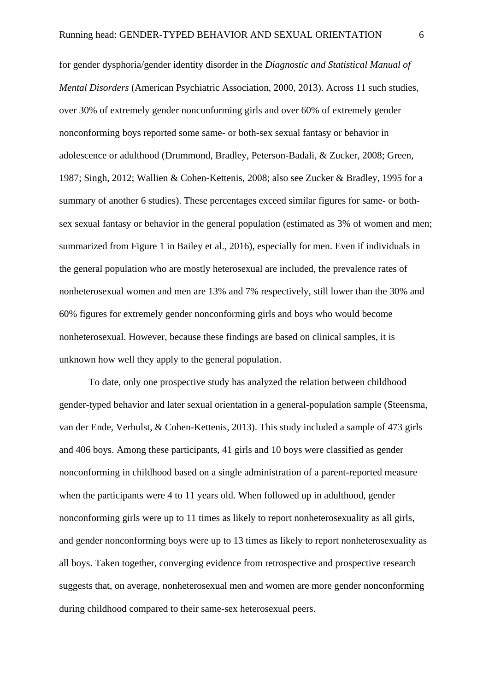for gender dysphoria/gender identity disorder in the *Diagnostic and Statistical Manual of Mental Disorders* (American Psychiatric Association, 2000, 2013). Across 11 such studies, over 30% of extremely gender nonconforming girls and over 60% of extremely gender nonconforming boys reported some same- or both-sex sexual fantasy or behavior in adolescence or adulthood (Drummond, Bradley, Peterson-Badali, & Zucker, 2008; Green, 1987; Singh, 2012; Wallien & Cohen-Kettenis, 2008; also see Zucker & Bradley, 1995 for a summary of another 6 studies). These percentages exceed similar figures for same- or bothsex sexual fantasy or behavior in the general population (estimated as 3% of women and men; summarized from Figure 1 in Bailey et al., 2016), especially for men. Even if individuals in the general population who are mostly heterosexual are included, the prevalence rates of nonheterosexual women and men are 13% and 7% respectively, still lower than the 30% and 60% figures for extremely gender nonconforming girls and boys who would become nonheterosexual. However, because these findings are based on clinical samples, it is unknown how well they apply to the general population.

To date, only one prospective study has analyzed the relation between childhood gender-typed behavior and later sexual orientation in a general-population sample (Steensma, van der Ende, Verhulst, & Cohen-Kettenis, 2013). This study included a sample of 473 girls and 406 boys. Among these participants, 41 girls and 10 boys were classified as gender nonconforming in childhood based on a single administration of a parent-reported measure when the participants were 4 to 11 years old. When followed up in adulthood, gender nonconforming girls were up to 11 times as likely to report nonheterosexuality as all girls, and gender nonconforming boys were up to 13 times as likely to report nonheterosexuality as all boys. Taken together, converging evidence from retrospective and prospective research suggests that, on average, nonheterosexual men and women are more gender nonconforming during childhood compared to their same-sex heterosexual peers.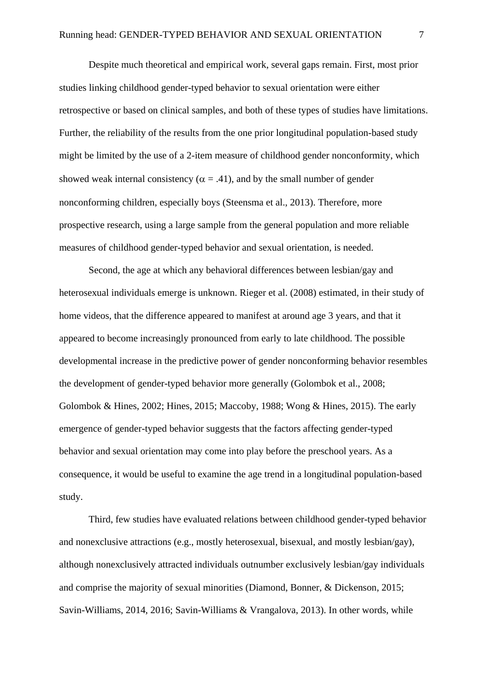Despite much theoretical and empirical work, several gaps remain. First, most prior studies linking childhood gender-typed behavior to sexual orientation were either retrospective or based on clinical samples, and both of these types of studies have limitations. Further, the reliability of the results from the one prior longitudinal population-based study might be limited by the use of a 2-item measure of childhood gender nonconformity, which showed weak internal consistency ( $\alpha = .41$ ), and by the small number of gender nonconforming children, especially boys (Steensma et al., 2013). Therefore, more prospective research, using a large sample from the general population and more reliable measures of childhood gender-typed behavior and sexual orientation, is needed.

Second, the age at which any behavioral differences between lesbian/gay and heterosexual individuals emerge is unknown. Rieger et al. (2008) estimated, in their study of home videos, that the difference appeared to manifest at around age 3 years, and that it appeared to become increasingly pronounced from early to late childhood. The possible developmental increase in the predictive power of gender nonconforming behavior resembles the development of gender-typed behavior more generally (Golombok et al., 2008; Golombok & Hines, 2002; Hines, 2015; Maccoby, 1988; Wong & Hines, 2015). The early emergence of gender-typed behavior suggests that the factors affecting gender-typed behavior and sexual orientation may come into play before the preschool years. As a consequence, it would be useful to examine the age trend in a longitudinal population-based study.

Third, few studies have evaluated relations between childhood gender-typed behavior and nonexclusive attractions (e.g., mostly heterosexual, bisexual, and mostly lesbian/gay), although nonexclusively attracted individuals outnumber exclusively lesbian/gay individuals and comprise the majority of sexual minorities (Diamond, Bonner, & Dickenson, 2015; Savin-Williams, 2014, 2016; Savin-Williams & Vrangalova, 2013). In other words, while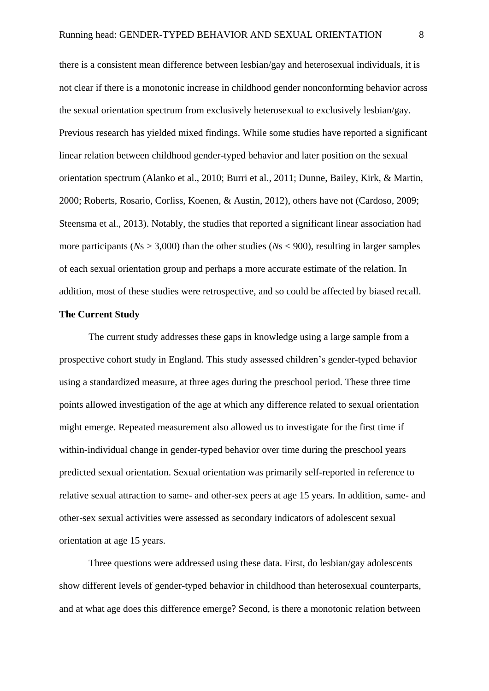there is a consistent mean difference between lesbian/gay and heterosexual individuals, it is not clear if there is a monotonic increase in childhood gender nonconforming behavior across the sexual orientation spectrum from exclusively heterosexual to exclusively lesbian/gay. Previous research has yielded mixed findings. While some studies have reported a significant linear relation between childhood gender-typed behavior and later position on the sexual orientation spectrum (Alanko et al., 2010; Burri et al., 2011; Dunne, Bailey, Kirk, & Martin, 2000; Roberts, Rosario, Corliss, Koenen, & Austin, 2012), others have not (Cardoso, 2009; Steensma et al., 2013). Notably, the studies that reported a significant linear association had more participants ( $Ns > 3,000$ ) than the other studies ( $Ns < 900$ ), resulting in larger samples of each sexual orientation group and perhaps a more accurate estimate of the relation. In addition, most of these studies were retrospective, and so could be affected by biased recall.

#### **The Current Study**

The current study addresses these gaps in knowledge using a large sample from a prospective cohort study in England. This study assessed children's gender-typed behavior using a standardized measure, at three ages during the preschool period. These three time points allowed investigation of the age at which any difference related to sexual orientation might emerge. Repeated measurement also allowed us to investigate for the first time if within-individual change in gender-typed behavior over time during the preschool years predicted sexual orientation. Sexual orientation was primarily self-reported in reference to relative sexual attraction to same- and other-sex peers at age 15 years. In addition, same- and other-sex sexual activities were assessed as secondary indicators of adolescent sexual orientation at age 15 years.

Three questions were addressed using these data. First, do lesbian/gay adolescents show different levels of gender-typed behavior in childhood than heterosexual counterparts, and at what age does this difference emerge? Second, is there a monotonic relation between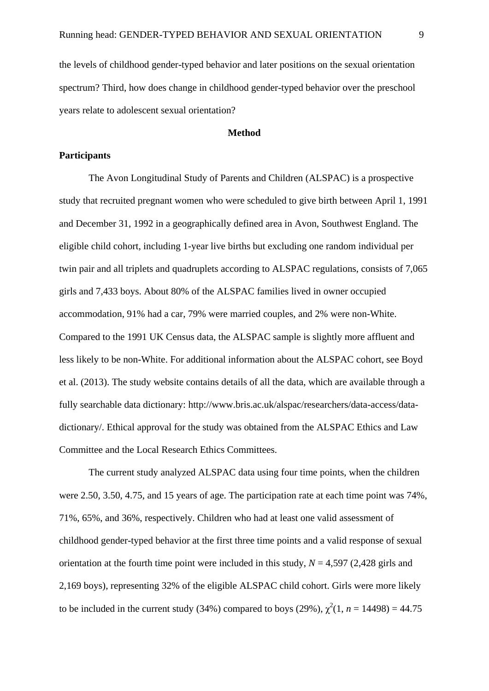the levels of childhood gender-typed behavior and later positions on the sexual orientation spectrum? Third, how does change in childhood gender-typed behavior over the preschool years relate to adolescent sexual orientation?

#### **Method**

#### **Participants**

The Avon Longitudinal Study of Parents and Children (ALSPAC) is a prospective study that recruited pregnant women who were scheduled to give birth between April 1, 1991 and December 31, 1992 in a geographically defined area in Avon, Southwest England. The eligible child cohort, including 1-year live births but excluding one random individual per twin pair and all triplets and quadruplets according to ALSPAC regulations, consists of 7,065 girls and 7,433 boys. About 80% of the ALSPAC families lived in owner occupied accommodation, 91% had a car, 79% were married couples, and 2% were non-White. Compared to the 1991 UK Census data, the ALSPAC sample is slightly more affluent and less likely to be non-White. For additional information about the ALSPAC cohort, see Boyd et al. (2013). The study website contains details of all the data, which are available through a fully searchable data dictionary: [http://www.bris.ac.uk/alspac/researchers/data-access/data](http://www.bris.ac.uk/alspac/researchers/data-access/data-dictionary/)[dictionary/.](http://www.bris.ac.uk/alspac/researchers/data-access/data-dictionary/) Ethical approval for the study was obtained from the ALSPAC Ethics and Law Committee and the Local Research Ethics Committees.

The current study analyzed ALSPAC data using four time points, when the children were 2.50, 3.50, 4.75, and 15 years of age. The participation rate at each time point was 74%, 71%, 65%, and 36%, respectively. Children who had at least one valid assessment of childhood gender-typed behavior at the first three time points and a valid response of sexual orientation at the fourth time point were included in this study, *N* = 4,597 (2,428 girls and 2,169 boys), representing 32% of the eligible ALSPAC child cohort. Girls were more likely to be included in the current study (34%) compared to boys (29%),  $\chi^2(1, n = 14498) = 44.75$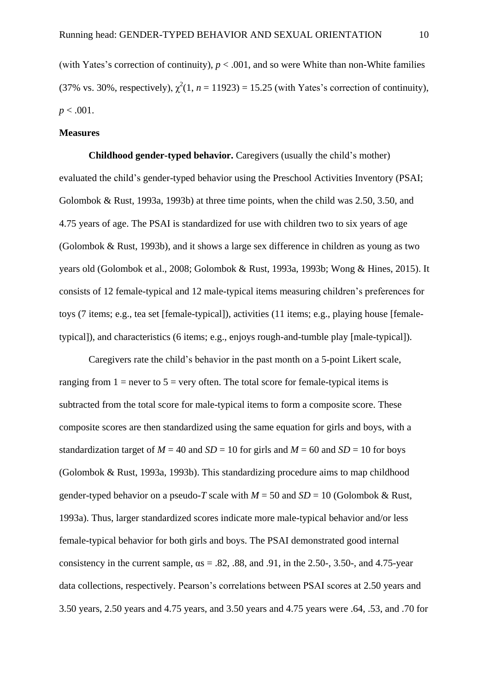(with Yates's correction of continuity),  $p < .001$ , and so were White than non-White families (37% vs. 30%, respectively),  $\chi^2(1, n = 11923) = 15.25$  (with Yates's correction of continuity),  $p < .001$ .

#### **Measures**

**Childhood gender-typed behavior.** Caregivers (usually the child's mother) evaluated the child's gender-typed behavior using the Preschool Activities Inventory (PSAI; Golombok & Rust, 1993a, 1993b) at three time points, when the child was  $2.50, 3.50,$  and 4.75 years of age. The PSAI is standardized for use with children two to six years of age (Golombok & Rust, 1993b), and it shows a large sex difference in children as young as two years old (Golombok et al., 2008; Golombok & Rust, 1993a, 1993b; Wong & Hines, 2015). It consists of 12 female-typical and 12 male-typical items measuring children's preferences for toys (7 items; e.g., tea set [female-typical]), activities (11 items; e.g., playing house [femaletypical]), and characteristics (6 items; e.g., enjoys rough-and-tumble play [male-typical]).

Caregivers rate the child's behavior in the past month on a 5-point Likert scale, ranging from  $1 =$  never to  $5 =$  very often. The total score for female-typical items is subtracted from the total score for male-typical items to form a composite score. These composite scores are then standardized using the same equation for girls and boys, with a standardization target of  $M = 40$  and  $SD = 10$  for girls and  $M = 60$  and  $SD = 10$  for boys (Golombok & Rust, 1993a, 1993b). This standardizing procedure aims to map childhood gender-typed behavior on a pseudo-*T* scale with  $M = 50$  and  $SD = 10$  (Golombok & Rust, 1993a). Thus, larger standardized scores indicate more male-typical behavior and/or less female-typical behavior for both girls and boys. The PSAI demonstrated good internal consistency in the current sample,  $\alpha s = .82, .88,$  and 0.91, in the 2.50-, 3.50-, and 4.75-year data collections, respectively. Pearson's correlations between PSAI scores at 2.50 years and 3.50 years, 2.50 years and 4.75 years, and 3.50 years and 4.75 years were .64, .53, and .70 for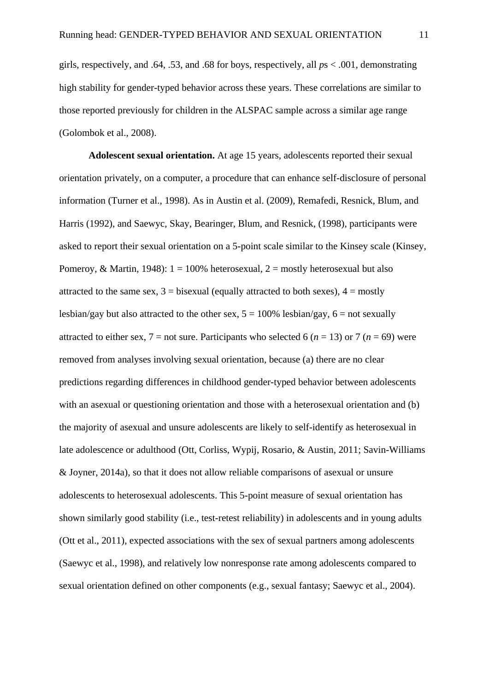girls, respectively, and .64, .53, and .68 for boys, respectively, all *p*s < .001, demonstrating high stability for gender-typed behavior across these years. These correlations are similar to those reported previously for children in the ALSPAC sample across a similar age range (Golombok et al., 2008).

**Adolescent sexual orientation.** At age 15 years, adolescents reported their sexual orientation privately, on a computer, a procedure that can enhance self-disclosure of personal information (Turner et al., 1998). As in Austin et al. (2009), Remafedi, Resnick, Blum, and Harris (1992), and Saewyc, Skay, Bearinger, Blum, and Resnick, (1998), participants were asked to report their sexual orientation on a 5-point scale similar to the Kinsey scale (Kinsey, Pomeroy, & Martin, 1948):  $1 = 100\%$  heterosexual,  $2 =$  mostly heterosexual but also attracted to the same sex,  $3 =$  bisexual (equally attracted to both sexes),  $4 =$  mostly lesbian/gay but also attracted to the other sex,  $5 = 100\%$  lesbian/gay,  $6 = \text{not}$  sexually attracted to either sex,  $7 =$  not sure. Participants who selected 6 ( $n = 13$ ) or 7 ( $n = 69$ ) were removed from analyses involving sexual orientation, because (a) there are no clear predictions regarding differences in childhood gender-typed behavior between adolescents with an asexual or questioning orientation and those with a heterosexual orientation and (b) the majority of asexual and unsure adolescents are likely to self-identify as heterosexual in late adolescence or adulthood (Ott, Corliss, Wypij, Rosario, & Austin, 2011; Savin-Williams & Joyner, 2014a), so that it does not allow reliable comparisons of asexual or unsure adolescents to heterosexual adolescents. This 5-point measure of sexual orientation has shown similarly good stability (i.e., test-retest reliability) in adolescents and in young adults (Ott et al., 2011), expected associations with the sex of sexual partners among adolescents (Saewyc et al., 1998), and relatively low nonresponse rate among adolescents compared to sexual orientation defined on other components (e.g., sexual fantasy; Saewyc et al., 2004).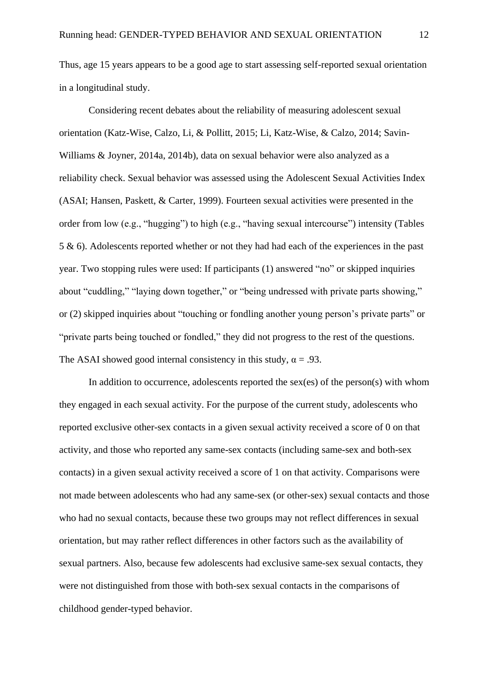Thus, age 15 years appears to be a good age to start assessing self-reported sexual orientation in a longitudinal study.

Considering recent debates about the reliability of measuring adolescent sexual orientation (Katz-Wise, Calzo, Li, & Pollitt, 2015; Li, Katz-Wise, & Calzo, 2014; Savin-Williams & Joyner, 2014a, 2014b), data on sexual behavior were also analyzed as a reliability check. Sexual behavior was assessed using the Adolescent Sexual Activities Index (ASAI; Hansen, Paskett, & Carter, 1999). Fourteen sexual activities were presented in the order from low (e.g., "hugging") to high (e.g., "having sexual intercourse") intensity (Tables 5 & 6). Adolescents reported whether or not they had had each of the experiences in the past year. Two stopping rules were used: If participants (1) answered "no" or skipped inquiries about "cuddling," "laying down together," or "being undressed with private parts showing," or (2) skipped inquiries about "touching or fondling another young person's private parts" or "private parts being touched or fondled," they did not progress to the rest of the questions. The ASAI showed good internal consistency in this study,  $\alpha = .93$ .

In addition to occurrence, adolescents reported the sex(es) of the person(s) with whom they engaged in each sexual activity. For the purpose of the current study, adolescents who reported exclusive other-sex contacts in a given sexual activity received a score of 0 on that activity, and those who reported any same-sex contacts (including same-sex and both-sex contacts) in a given sexual activity received a score of 1 on that activity. Comparisons were not made between adolescents who had any same-sex (or other-sex) sexual contacts and those who had no sexual contacts, because these two groups may not reflect differences in sexual orientation, but may rather reflect differences in other factors such as the availability of sexual partners. Also, because few adolescents had exclusive same-sex sexual contacts, they were not distinguished from those with both-sex sexual contacts in the comparisons of childhood gender-typed behavior.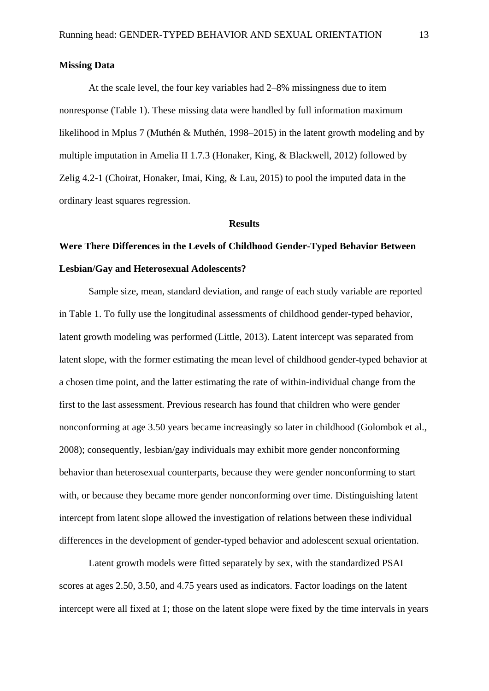#### **Missing Data**

At the scale level, the four key variables had 2–8% missingness due to item nonresponse (Table 1). These missing data were handled by full information maximum likelihood in Mplus 7 (Muthén & Muthén, 1998–2015) in the latent growth modeling and by multiple imputation in Amelia II 1.7.3 (Honaker, King, & Blackwell, 2012) followed by Zelig 4.2-1 (Choirat, Honaker, Imai, King, & Lau, 2015) to pool the imputed data in the ordinary least squares regression.

#### **Results**

## **Were There Differences in the Levels of Childhood Gender-Typed Behavior Between Lesbian/Gay and Heterosexual Adolescents?**

Sample size, mean, standard deviation, and range of each study variable are reported in Table 1. To fully use the longitudinal assessments of childhood gender-typed behavior, latent growth modeling was performed (Little, 2013). Latent intercept was separated from latent slope, with the former estimating the mean level of childhood gender-typed behavior at a chosen time point, and the latter estimating the rate of within-individual change from the first to the last assessment. Previous research has found that children who were gender nonconforming at age 3.50 years became increasingly so later in childhood (Golombok et al., 2008); consequently, lesbian/gay individuals may exhibit more gender nonconforming behavior than heterosexual counterparts, because they were gender nonconforming to start with, or because they became more gender nonconforming over time. Distinguishing latent intercept from latent slope allowed the investigation of relations between these individual differences in the development of gender-typed behavior and adolescent sexual orientation.

Latent growth models were fitted separately by sex, with the standardized PSAI scores at ages 2.50, 3.50, and 4.75 years used as indicators. Factor loadings on the latent intercept were all fixed at 1; those on the latent slope were fixed by the time intervals in years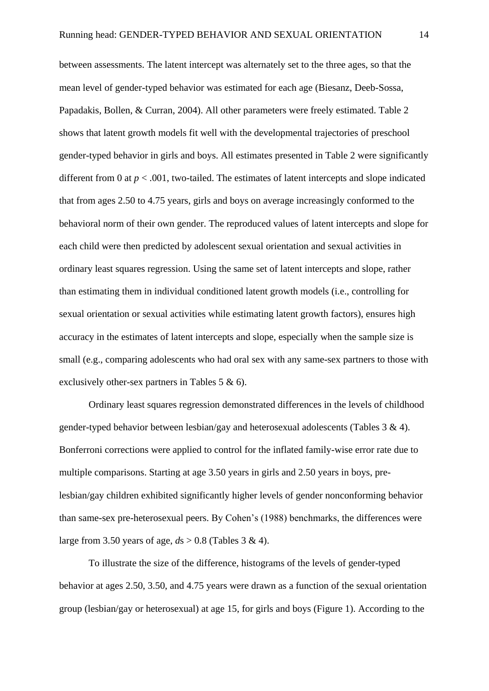between assessments. The latent intercept was alternately set to the three ages, so that the mean level of gender-typed behavior was estimated for each age (Biesanz, Deeb-Sossa, Papadakis, Bollen, & Curran, 2004). All other parameters were freely estimated. Table 2 shows that latent growth models fit well with the developmental trajectories of preschool gender-typed behavior in girls and boys. All estimates presented in Table 2 were significantly different from 0 at  $p < .001$ , two-tailed. The estimates of latent intercepts and slope indicated that from ages 2.50 to 4.75 years, girls and boys on average increasingly conformed to the behavioral norm of their own gender. The reproduced values of latent intercepts and slope for each child were then predicted by adolescent sexual orientation and sexual activities in ordinary least squares regression. Using the same set of latent intercepts and slope, rather than estimating them in individual conditioned latent growth models (i.e., controlling for sexual orientation or sexual activities while estimating latent growth factors), ensures high accuracy in the estimates of latent intercepts and slope, especially when the sample size is small (e.g., comparing adolescents who had oral sex with any same-sex partners to those with exclusively other-sex partners in Tables 5 & 6).

Ordinary least squares regression demonstrated differences in the levels of childhood gender-typed behavior between lesbian/gay and heterosexual adolescents (Tables 3 & 4). Bonferroni corrections were applied to control for the inflated family-wise error rate due to multiple comparisons. Starting at age 3.50 years in girls and 2.50 years in boys, prelesbian/gay children exhibited significantly higher levels of gender nonconforming behavior than same-sex pre-heterosexual peers. By Cohen's (1988) benchmarks, the differences were large from 3.50 years of age, *d*s > 0.8 (Tables 3 & 4).

To illustrate the size of the difference, histograms of the levels of gender-typed behavior at ages 2.50, 3.50, and 4.75 years were drawn as a function of the sexual orientation group (lesbian/gay or heterosexual) at age 15, for girls and boys (Figure 1). According to the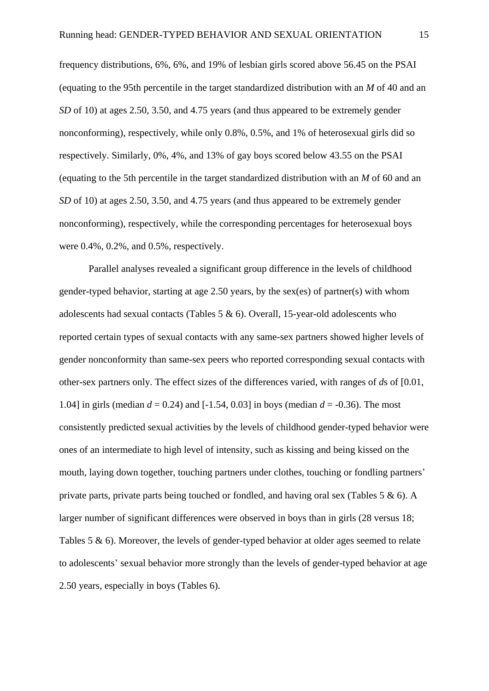frequency distributions, 6%, 6%, and 19% of lesbian girls scored above 56.45 on the PSAI (equating to the 95th percentile in the target standardized distribution with an *M* of 40 and an *SD* of 10) at ages 2.50, 3.50, and 4.75 years (and thus appeared to be extremely gender nonconforming), respectively, while only 0.8%, 0.5%, and 1% of heterosexual girls did so respectively. Similarly, 0%, 4%, and 13% of gay boys scored below 43.55 on the PSAI (equating to the 5th percentile in the target standardized distribution with an *M* of 60 and an *SD* of 10) at ages 2.50, 3.50, and 4.75 years (and thus appeared to be extremely gender nonconforming), respectively, while the corresponding percentages for heterosexual boys were 0.4%, 0.2%, and 0.5%, respectively.

Parallel analyses revealed a significant group difference in the levels of childhood gender-typed behavior, starting at age 2.50 years, by the sex(es) of partner(s) with whom adolescents had sexual contacts (Tables 5 & 6). Overall, 15-year-old adolescents who reported certain types of sexual contacts with any same-sex partners showed higher levels of gender nonconformity than same-sex peers who reported corresponding sexual contacts with other-sex partners only. The effect sizes of the differences varied, with ranges of *d*s of [0.01, 1.04] in girls (median *d* = 0.24) and [-1.54, 0.03] in boys (median *d* = -0.36). The most consistently predicted sexual activities by the levels of childhood gender-typed behavior were ones of an intermediate to high level of intensity, such as kissing and being kissed on the mouth, laying down together, touching partners under clothes, touching or fondling partners' private parts, private parts being touched or fondled, and having oral sex (Tables 5 & 6). A larger number of significant differences were observed in boys than in girls (28 versus 18; Tables  $5 \& 6$ ). Moreover, the levels of gender-typed behavior at older ages seemed to relate to adolescents' sexual behavior more strongly than the levels of gender-typed behavior at age 2.50 years, especially in boys (Tables 6).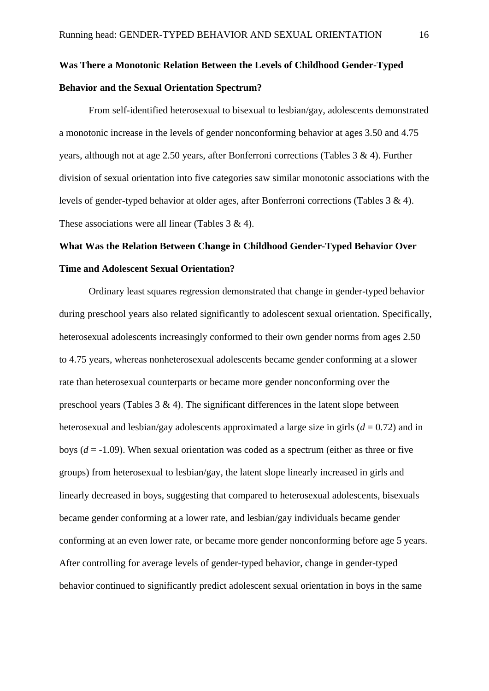## **Was There a Monotonic Relation Between the Levels of Childhood Gender-Typed Behavior and the Sexual Orientation Spectrum?**

From self-identified heterosexual to bisexual to lesbian/gay, adolescents demonstrated a monotonic increase in the levels of gender nonconforming behavior at ages 3.50 and 4.75 years, although not at age 2.50 years, after Bonferroni corrections (Tables 3 & 4). Further division of sexual orientation into five categories saw similar monotonic associations with the levels of gender-typed behavior at older ages, after Bonferroni corrections (Tables 3 & 4). These associations were all linear (Tables 3 & 4).

## **What Was the Relation Between Change in Childhood Gender-Typed Behavior Over Time and Adolescent Sexual Orientation?**

Ordinary least squares regression demonstrated that change in gender-typed behavior during preschool years also related significantly to adolescent sexual orientation. Specifically, heterosexual adolescents increasingly conformed to their own gender norms from ages 2.50 to 4.75 years, whereas nonheterosexual adolescents became gender conforming at a slower rate than heterosexual counterparts or became more gender nonconforming over the preschool years (Tables  $3 \& 4$ ). The significant differences in the latent slope between heterosexual and lesbian/gay adolescents approximated a large size in girls  $(d = 0.72)$  and in boys  $(d = -1.09)$ . When sexual orientation was coded as a spectrum (either as three or five groups) from heterosexual to lesbian/gay, the latent slope linearly increased in girls and linearly decreased in boys, suggesting that compared to heterosexual adolescents, bisexuals became gender conforming at a lower rate, and lesbian/gay individuals became gender conforming at an even lower rate, or became more gender nonconforming before age 5 years. After controlling for average levels of gender-typed behavior, change in gender-typed behavior continued to significantly predict adolescent sexual orientation in boys in the same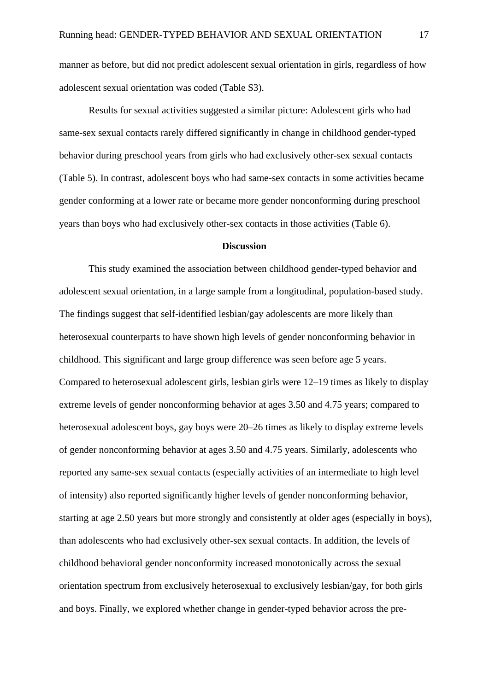manner as before, but did not predict adolescent sexual orientation in girls, regardless of how adolescent sexual orientation was coded (Table S3).

Results for sexual activities suggested a similar picture: Adolescent girls who had same-sex sexual contacts rarely differed significantly in change in childhood gender-typed behavior during preschool years from girls who had exclusively other-sex sexual contacts (Table 5). In contrast, adolescent boys who had same-sex contacts in some activities became gender conforming at a lower rate or became more gender nonconforming during preschool years than boys who had exclusively other-sex contacts in those activities (Table 6).

#### **Discussion**

This study examined the association between childhood gender-typed behavior and adolescent sexual orientation, in a large sample from a longitudinal, population-based study. The findings suggest that self-identified lesbian/gay adolescents are more likely than heterosexual counterparts to have shown high levels of gender nonconforming behavior in childhood. This significant and large group difference was seen before age 5 years. Compared to heterosexual adolescent girls, lesbian girls were 12–19 times as likely to display extreme levels of gender nonconforming behavior at ages 3.50 and 4.75 years; compared to heterosexual adolescent boys, gay boys were 20–26 times as likely to display extreme levels of gender nonconforming behavior at ages 3.50 and 4.75 years. Similarly, adolescents who reported any same-sex sexual contacts (especially activities of an intermediate to high level of intensity) also reported significantly higher levels of gender nonconforming behavior, starting at age 2.50 years but more strongly and consistently at older ages (especially in boys), than adolescents who had exclusively other-sex sexual contacts. In addition, the levels of childhood behavioral gender nonconformity increased monotonically across the sexual orientation spectrum from exclusively heterosexual to exclusively lesbian/gay, for both girls and boys. Finally, we explored whether change in gender-typed behavior across the pre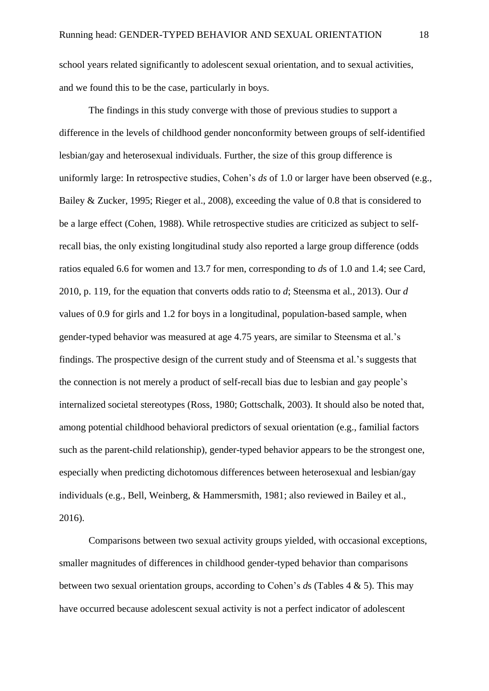school years related significantly to adolescent sexual orientation, and to sexual activities, and we found this to be the case, particularly in boys.

The findings in this study converge with those of previous studies to support a difference in the levels of childhood gender nonconformity between groups of self-identified lesbian/gay and heterosexual individuals. Further, the size of this group difference is uniformly large: In retrospective studies, Cohen's *ds* of 1.0 or larger have been observed (e.g., Bailey & Zucker, 1995; Rieger et al., 2008), exceeding the value of 0.8 that is considered to be a large effect (Cohen, 1988). While retrospective studies are criticized as subject to selfrecall bias, the only existing longitudinal study also reported a large group difference (odds ratios equaled 6.6 for women and 13.7 for men, corresponding to *d*s of 1.0 and 1.4; see Card, 2010, p. 119, for the equation that converts odds ratio to *d*; Steensma et al., 2013). Our *d*  values of 0.9 for girls and 1.2 for boys in a longitudinal, population-based sample, when gender-typed behavior was measured at age 4.75 years, are similar to Steensma et al.'s findings. The prospective design of the current study and of Steensma et al.'s suggests that the connection is not merely a product of self-recall bias due to lesbian and gay people's internalized societal stereotypes (Ross, 1980; Gottschalk, 2003). It should also be noted that, among potential childhood behavioral predictors of sexual orientation (e.g., familial factors such as the parent-child relationship), gender-typed behavior appears to be the strongest one, especially when predicting dichotomous differences between heterosexual and lesbian/gay individuals (e.g., Bell, Weinberg, & Hammersmith, 1981; also reviewed in Bailey et al., 2016).

Comparisons between two sexual activity groups yielded, with occasional exceptions, smaller magnitudes of differences in childhood gender-typed behavior than comparisons between two sexual orientation groups, according to Cohen's *d*s (Tables 4 & 5). This may have occurred because adolescent sexual activity is not a perfect indicator of adolescent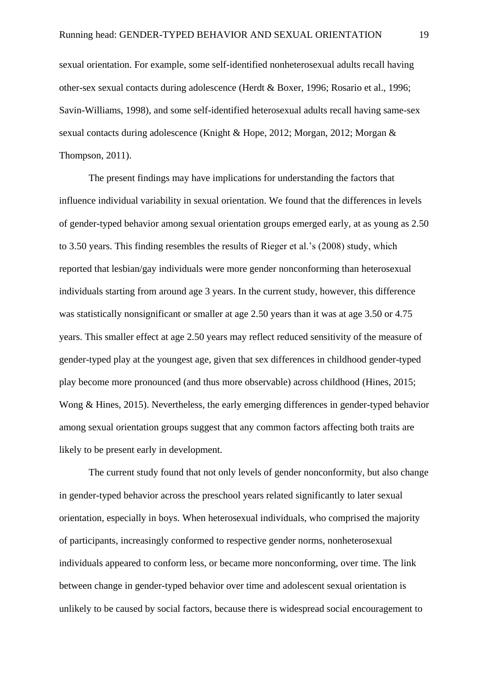sexual orientation. For example, some self-identified nonheterosexual adults recall having other-sex sexual contacts during adolescence (Herdt & Boxer, 1996; Rosario et al., 1996; Savin-Williams, 1998), and some self-identified heterosexual adults recall having same-sex sexual contacts during adolescence (Knight & Hope, 2012; Morgan, 2012; Morgan & Thompson, 2011).

The present findings may have implications for understanding the factors that influence individual variability in sexual orientation. We found that the differences in levels of gender-typed behavior among sexual orientation groups emerged early, at as young as 2.50 to 3.50 years. This finding resembles the results of Rieger et al.'s (2008) study, which reported that lesbian/gay individuals were more gender nonconforming than heterosexual individuals starting from around age 3 years. In the current study, however, this difference was statistically nonsignificant or smaller at age 2.50 years than it was at age 3.50 or 4.75 years. This smaller effect at age 2.50 years may reflect reduced sensitivity of the measure of gender-typed play at the youngest age, given that sex differences in childhood gender-typed play become more pronounced (and thus more observable) across childhood (Hines, 2015; Wong & Hines, 2015). Nevertheless, the early emerging differences in gender-typed behavior among sexual orientation groups suggest that any common factors affecting both traits are likely to be present early in development.

The current study found that not only levels of gender nonconformity, but also change in gender-typed behavior across the preschool years related significantly to later sexual orientation, especially in boys. When heterosexual individuals, who comprised the majority of participants, increasingly conformed to respective gender norms, nonheterosexual individuals appeared to conform less, or became more nonconforming, over time. The link between change in gender-typed behavior over time and adolescent sexual orientation is unlikely to be caused by social factors, because there is widespread social encouragement to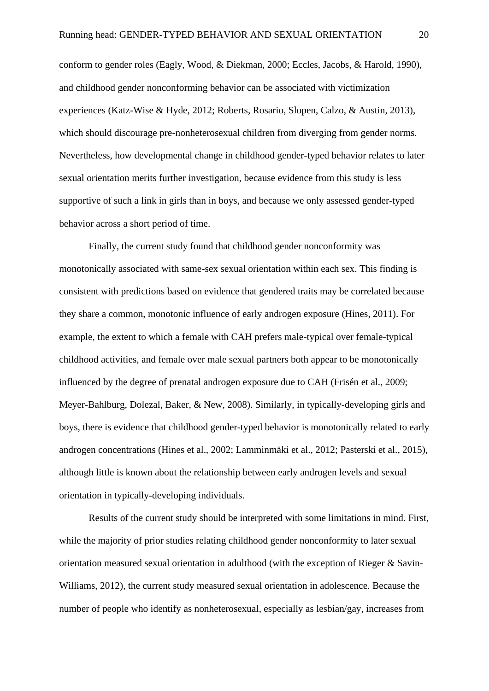conform to gender roles (Eagly, Wood, & Diekman, 2000; Eccles, Jacobs, & Harold, 1990), and childhood gender nonconforming behavior can be associated with victimization experiences (Katz-Wise & Hyde, 2012; Roberts, Rosario, Slopen, Calzo, & Austin, 2013), which should discourage pre-nonheterosexual children from diverging from gender norms. Nevertheless, how developmental change in childhood gender-typed behavior relates to later sexual orientation merits further investigation, because evidence from this study is less supportive of such a link in girls than in boys, and because we only assessed gender-typed behavior across a short period of time.

Finally, the current study found that childhood gender nonconformity was monotonically associated with same-sex sexual orientation within each sex. This finding is consistent with predictions based on evidence that gendered traits may be correlated because they share a common, monotonic influence of early androgen exposure (Hines, 2011). For example, the extent to which a female with CAH prefers male-typical over female-typical childhood activities, and female over male sexual partners both appear to be monotonically influenced by the degree of prenatal androgen exposure due to CAH (Frisén et al., 2009; Meyer-Bahlburg, Dolezal, Baker, & New, 2008). Similarly, in typically-developing girls and boys, there is evidence that childhood gender-typed behavior is monotonically related to early androgen concentrations (Hines et al., 2002; Lamminmäki et al., 2012; Pasterski et al., 2015), although little is known about the relationship between early androgen levels and sexual orientation in typically-developing individuals.

Results of the current study should be interpreted with some limitations in mind. First, while the majority of prior studies relating childhood gender nonconformity to later sexual orientation measured sexual orientation in adulthood (with the exception of Rieger & Savin-Williams, 2012), the current study measured sexual orientation in adolescence. Because the number of people who identify as nonheterosexual, especially as lesbian/gay, increases from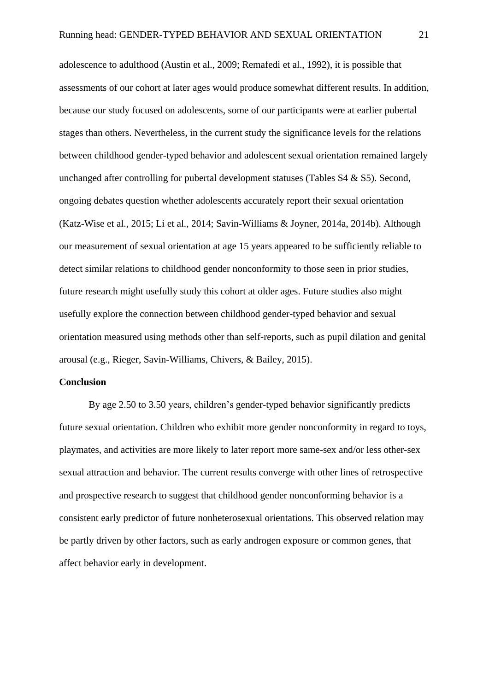adolescence to adulthood (Austin et al., 2009; Remafedi et al., 1992), it is possible that assessments of our cohort at later ages would produce somewhat different results. In addition, because our study focused on adolescents, some of our participants were at earlier pubertal stages than others. Nevertheless, in the current study the significance levels for the relations between childhood gender-typed behavior and adolescent sexual orientation remained largely unchanged after controlling for pubertal development statuses (Tables S4 & S5). Second, ongoing debates question whether adolescents accurately report their sexual orientation (Katz-Wise et al., 2015; Li et al., 2014; Savin-Williams & Joyner, 2014a, 2014b). Although our measurement of sexual orientation at age 15 years appeared to be sufficiently reliable to detect similar relations to childhood gender nonconformity to those seen in prior studies, future research might usefully study this cohort at older ages. Future studies also might usefully explore the connection between childhood gender-typed behavior and sexual orientation measured using methods other than self-reports, such as pupil dilation and genital arousal (e.g., Rieger, Savin-Williams, Chivers, & Bailey, 2015).

#### **Conclusion**

By age 2.50 to 3.50 years, children's gender-typed behavior significantly predicts future sexual orientation. Children who exhibit more gender nonconformity in regard to toys, playmates, and activities are more likely to later report more same-sex and/or less other-sex sexual attraction and behavior. The current results converge with other lines of retrospective and prospective research to suggest that childhood gender nonconforming behavior is a consistent early predictor of future nonheterosexual orientations. This observed relation may be partly driven by other factors, such as early androgen exposure or common genes, that affect behavior early in development.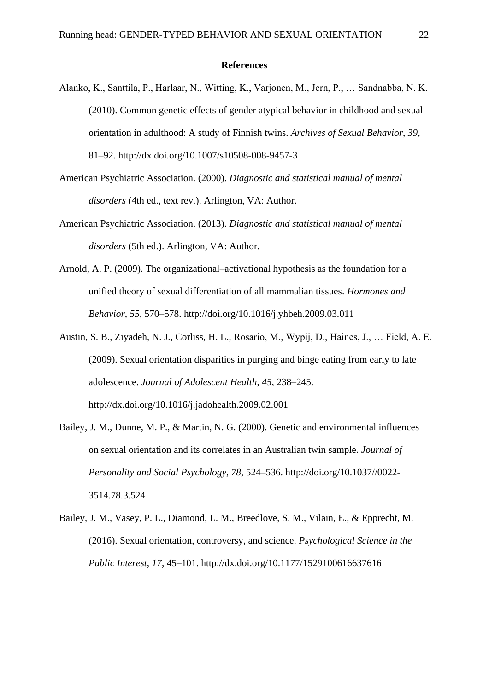#### **References**

- Alanko, K., Santtila, P., Harlaar, N., Witting, K., Varjonen, M., Jern, P., … Sandnabba, N. K. (2010). Common genetic effects of gender atypical behavior in childhood and sexual orientation in adulthood: A study of Finnish twins. *Archives of Sexual Behavior*, *39*, 81–92. http://dx.doi.org/10.1007/s10508-008-9457-3
- American Psychiatric Association. (2000). *Diagnostic and statistical manual of mental disorders* (4th ed., text rev.). Arlington, VA: Author.
- American Psychiatric Association. (2013). *Diagnostic and statistical manual of mental disorders* (5th ed.). Arlington, VA: Author.
- Arnold, A. P. (2009). The organizational–activational hypothesis as the foundation for a unified theory of sexual differentiation of all mammalian tissues. *Hormones and Behavior*, *55*, 570–578. http://doi.org/10.1016/j.yhbeh.2009.03.011
- Austin, S. B., Ziyadeh, N. J., Corliss, H. L., Rosario, M., Wypij, D., Haines, J., … Field, A. E. (2009). Sexual orientation disparities in purging and binge eating from early to late adolescence. *Journal of Adolescent Health*, *45*, 238–245. http://dx.doi.org/10.1016/j.jadohealth.2009.02.001
- Bailey, J. M., Dunne, M. P., & Martin, N. G. (2000). Genetic and environmental influences on sexual orientation and its correlates in an Australian twin sample. *Journal of Personality and Social Psychology*, *78*, 524–536. http://doi.org/10.1037//0022- 3514.78.3.524
- Bailey, J. M., Vasey, P. L., Diamond, L. M., Breedlove, S. M., Vilain, E., & Epprecht, M. (2016). Sexual orientation, controversy, and science. *Psychological Science in the Public Interest*, *17*, 45–101. http://dx.doi.org/10.1177/1529100616637616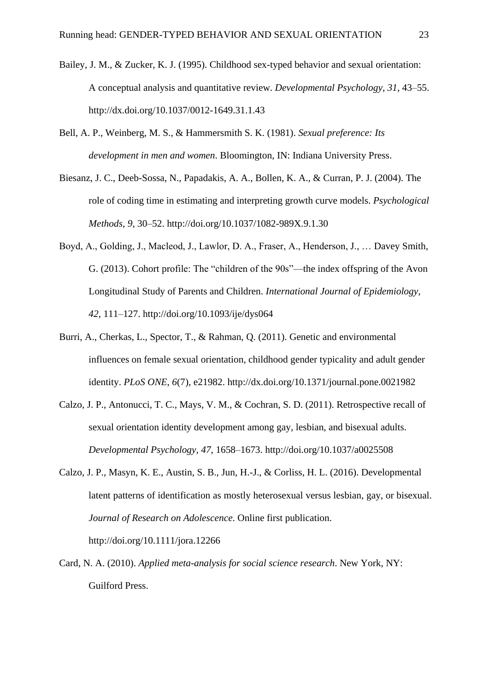- Bailey, J. M., & Zucker, K. J. (1995). Childhood sex-typed behavior and sexual orientation: A conceptual analysis and quantitative review. *Developmental Psychology*, *31*, 43–55. http://dx.doi.org/10.1037/0012-1649.31.1.43
- Bell, A. P., Weinberg, M. S., & Hammersmith S. K. (1981). *Sexual preference: Its development in men and women*. Bloomington, IN: Indiana University Press.
- Biesanz, J. C., Deeb-Sossa, N., Papadakis, A. A., Bollen, K. A., & Curran, P. J. (2004). The role of coding time in estimating and interpreting growth curve models. *Psychological Methods*, *9*, 30–52. http://doi.org/10.1037/1082-989X.9.1.30
- Boyd, A., Golding, J., Macleod, J., Lawlor, D. A., Fraser, A., Henderson, J., … Davey Smith, G. (2013). Cohort profile: The "children of the 90s"—the index offspring of the Avon Longitudinal Study of Parents and Children. *International Journal of Epidemiology*, *42*, 111–127. http://doi.org/10.1093/ije/dys064
- Burri, A., Cherkas, L., Spector, T., & Rahman, Q. (2011). Genetic and environmental influences on female sexual orientation, childhood gender typicality and adult gender identity. *PLoS ONE*, *6*(7), e21982. http://dx.doi.org/10.1371/journal.pone.0021982
- Calzo, J. P., Antonucci, T. C., Mays, V. M., & Cochran, S. D. (2011). Retrospective recall of sexual orientation identity development among gay, lesbian, and bisexual adults. *Developmental Psychology*, *47*, 1658–1673. http://doi.org/10.1037/a0025508
- Calzo, J. P., Masyn, K. E., Austin, S. B., Jun, H.-J., & Corliss, H. L. (2016). Developmental latent patterns of identification as mostly heterosexual versus lesbian, gay, or bisexual. *Journal of Research on Adolescence*. Online first publication.

http://doi.org/10.1111/jora.12266

Card, N. A. (2010). *Applied meta-analysis for social science research*. New York, NY: Guilford Press.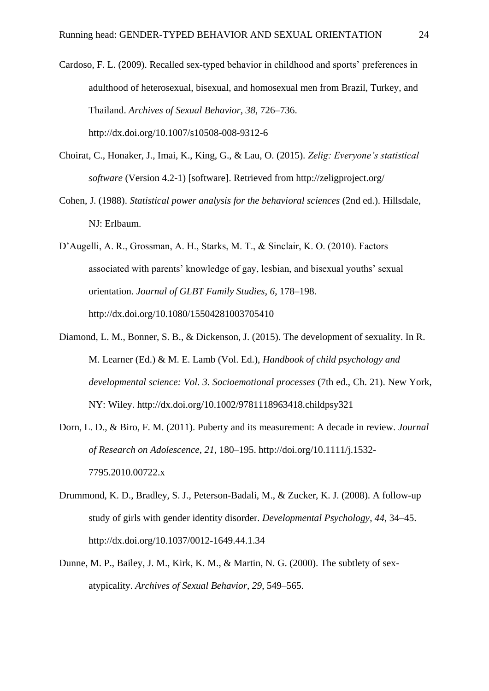- Cardoso, F. L. (2009). Recalled sex-typed behavior in childhood and sports' preferences in adulthood of heterosexual, bisexual, and homosexual men from Brazil, Turkey, and Thailand. *Archives of Sexual Behavior*, *38*, 726–736. http://dx.doi.org/10.1007/s10508-008-9312-6
- Choirat, C., Honaker, J., Imai, K., King, G., & Lau, O. (2015). *Zelig: Everyone's statistical software* (Version 4.2-1) [software]. Retrieved from http://zeligproject.org/
- Cohen, J. (1988). *Statistical power analysis for the behavioral sciences* (2nd ed.). Hillsdale, NJ: Erlbaum.
- D'Augelli, A. R., Grossman, A. H., Starks, M. T., & Sinclair, K. O. (2010). Factors associated with parents' knowledge of gay, lesbian, and bisexual youths' sexual orientation. *Journal of GLBT Family Studies*, *6*, 178–198. http://dx.doi.org/10.1080/15504281003705410
- Diamond, L. M., Bonner, S. B., & Dickenson, J. (2015). The development of sexuality. In R. M. Learner (Ed.) & M. E. Lamb (Vol. Ed.), *Handbook of child psychology and developmental science: Vol. 3. Socioemotional processes* (7th ed., Ch. 21). New York, NY: Wiley. http://dx.doi.org/10.1002/9781118963418.childpsy321
- Dorn, L. D., & Biro, F. M. (2011). Puberty and its measurement: A decade in review. *Journal of Research on Adolescence*, *21*, 180–195. http://doi.org/10.1111/j.1532- 7795.2010.00722.x
- Drummond, K. D., Bradley, S. J., Peterson-Badali, M., & Zucker, K. J. (2008). A follow-up study of girls with gender identity disorder. *Developmental Psychology*, *44*, 34–45. http://dx.doi.org/10.1037/0012-1649.44.1.34
- Dunne, M. P., Bailey, J. M., Kirk, K. M., & Martin, N. G. (2000). The subtlety of sexatypicality. *Archives of Sexual Behavior*, *29*, 549–565.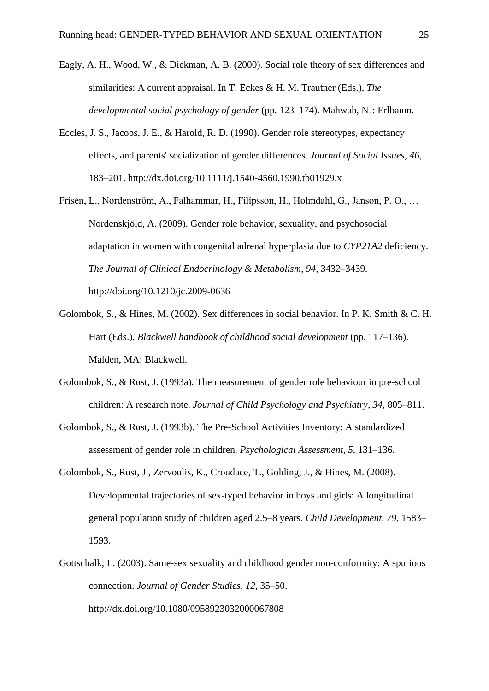- Eagly, A. H., Wood, W., & Diekman, A. B. (2000). Social role theory of sex differences and similarities: A current appraisal. In T. Eckes & H. M. Trautner (Eds.), *The developmental social psychology of gender* (pp. 123–174). Mahwah, NJ: Erlbaum.
- Eccles, J. S., Jacobs, J. E., & Harold, R. D. (1990). Gender role stereotypes, expectancy effects, and parents' socialization of gender differences. *Journal of Social Issues*, *46*, 183–201. http://dx.doi.org/10.1111/j.1540-4560.1990.tb01929.x
- Frisén, L., Nordenström, A., Falhammar, H., Filipsson, H., Holmdahl, G., Janson, P. O., … Nordenskjöld, A. (2009). Gender role behavior, sexuality, and psychosocial adaptation in women with congenital adrenal hyperplasia due to *CYP21A2* deficiency. *The Journal of Clinical Endocrinology & Metabolism*, *94*, 3432–3439. http://doi.org/10.1210/jc.2009-0636
- Golombok, S., & Hines, M. (2002). Sex differences in social behavior. In P. K. Smith & C. H. Hart (Eds.), *Blackwell handbook of childhood social development* (pp. 117–136). Malden, MA: Blackwell.
- Golombok, S., & Rust, J. (1993a). The measurement of gender role behaviour in pre-school children: A research note. *Journal of Child Psychology and Psychiatry, 34*, 805–811.
- Golombok, S., & Rust, J. (1993b). The Pre-School Activities Inventory: A standardized assessment of gender role in children. *Psychological Assessment*, *5*, 131–136.
- Golombok, S., Rust, J., Zervoulis, K., Croudace, T., Golding, J., & Hines, M. (2008). Developmental trajectories of sex-typed behavior in boys and girls: A longitudinal general population study of children aged 2.5–8 years. *Child Development*, *79*, 1583– 1593.
- Gottschalk, L. (2003). Same-sex sexuality and childhood gender non-conformity: A spurious connection. *Journal of Gender Studies*, *12*, 35–50. http://dx.doi.org/10.1080/0958923032000067808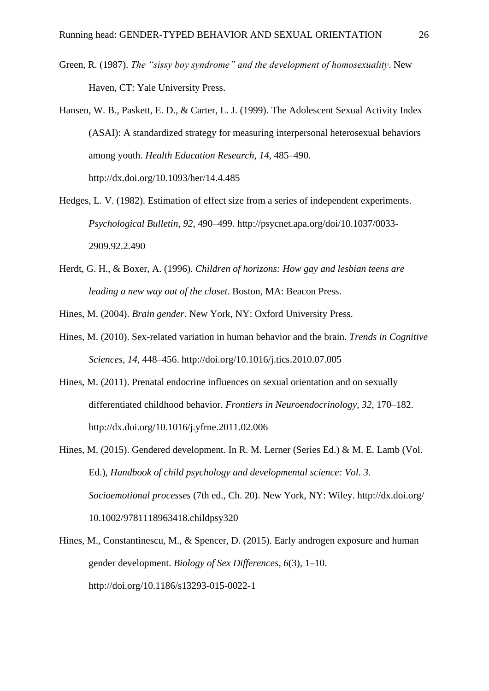- Green, R. (1987). *The "sissy boy syndrome" and the development of homosexuality*. New Haven, CT: Yale University Press.
- Hansen, W. B., Paskett, E. D., & Carter, L. J. (1999). The Adolescent Sexual Activity Index (ASAI): A standardized strategy for measuring interpersonal heterosexual behaviors among youth. *Health Education Research, 14*, 485–490. http://dx.doi.org/10.1093/her/14.4.485
- Hedges, L. V. (1982). Estimation of effect size from a series of independent experiments. *Psychological Bulletin, 92*, 490–499. http://psycnet.apa.org/doi/10.1037/0033- 2909.92.2.490
- Herdt, G. H., & Boxer, A. (1996). *Children of horizons: How gay and lesbian teens are leading a new way out of the closet*. Boston, MA: Beacon Press.
- Hines, M. (2004). *Brain gender*. New York, NY: Oxford University Press.
- Hines, M. (2010). Sex-related variation in human behavior and the brain. *Trends in Cognitive Sciences*, *14*, 448–456. http://doi.org/10.1016/j.tics.2010.07.005
- Hines, M. (2011). Prenatal endocrine influences on sexual orientation and on sexually differentiated childhood behavior. *Frontiers in Neuroendocrinology*, *32*, 170–182. http://dx.doi.org/10.1016/j.yfrne.2011.02.006
- Hines, M. (2015). Gendered development. In R. M. Lerner (Series Ed.) & M. E. Lamb (Vol. Ed.), *Handbook of child psychology and developmental science: Vol. 3. Socioemotional processes* (7th ed., Ch. 20). New York, NY: Wiley. http://dx.doi.org/ 10.1002/9781118963418.childpsy320
- Hines, M., Constantinescu, M., & Spencer, D. (2015). Early androgen exposure and human gender development. *Biology of Sex Differences*, *6*(3), 1–10. http://doi.org/10.1186/s13293-015-0022-1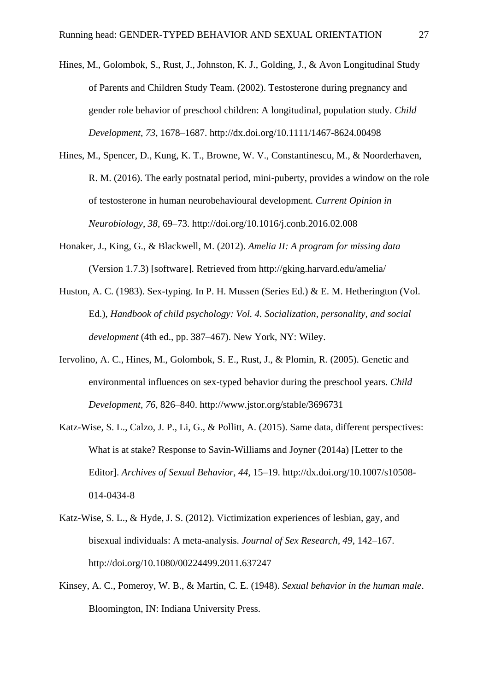- Hines, M., Golombok, S., Rust, J., Johnston, K. J., Golding, J., & Avon Longitudinal Study of Parents and Children Study Team. (2002). Testosterone during pregnancy and gender role behavior of preschool children: A longitudinal, population study. *Child Development*, *73*, 1678–1687. http://dx.doi.org/10.1111/1467-8624.00498
- Hines, M., Spencer, D., Kung, K. T., Browne, W. V., Constantinescu, M., & Noorderhaven, R. M. (2016). The early postnatal period, mini-puberty, provides a window on the role of testosterone in human neurobehavioural development. *Current Opinion in Neurobiology*, *38*, 69–73. http://doi.org/10.1016/j.conb.2016.02.008
- Honaker, J., King, G., & Blackwell, M. (2012). *Amelia II: A program for missing data*  (Version 1.7.3) [software]. Retrieved from<http://gking.harvard.edu/amelia/>
- Huston, A. C. (1983). Sex-typing. In P. H. Mussen (Series Ed.) & E. M. Hetherington (Vol. Ed.), *Handbook of child psychology: Vol. 4. Socialization, personality, and social development* (4th ed., pp. 387–467). New York, NY: Wiley.
- Iervolino, A. C., Hines, M., Golombok, S. E., Rust, J., & Plomin, R. (2005). Genetic and environmental influences on sex-typed behavior during the preschool years. *Child Development*, *76*, 826–840. http://www.jstor.org/stable/3696731
- Katz-Wise, S. L., Calzo, J. P., Li, G., & Pollitt, A. (2015). Same data, different perspectives: What is at stake? Response to Savin-Williams and Joyner (2014a) [Letter to the Editor]. *Archives of Sexual Behavior*, *44*, 15–19. http://dx.doi.org/10.1007/s10508- 014-0434-8
- Katz-Wise, S. L., & Hyde, J. S. (2012). Victimization experiences of lesbian, gay, and bisexual individuals: A meta-analysis. *Journal of Sex Research, 49*, 142–167. http://doi.org/10.1080/00224499.2011.637247
- Kinsey, A. C., Pomeroy, W. B., & Martin, C. E. (1948). *Sexual behavior in the human male*. Bloomington, IN: Indiana University Press.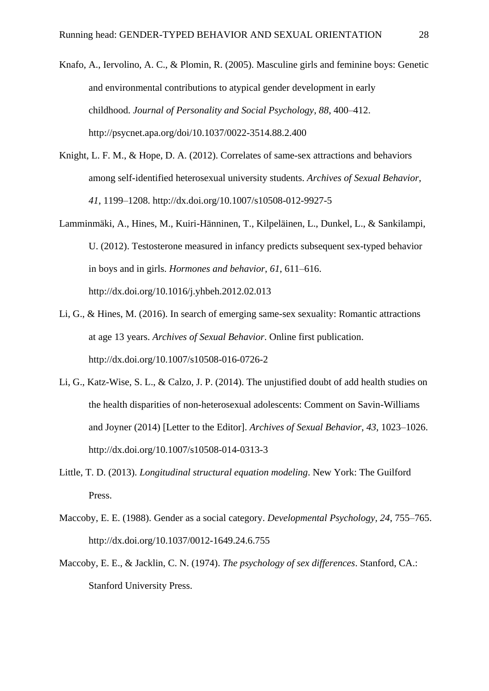- Knafo, A., Iervolino, A. C., & Plomin, R. (2005). Masculine girls and feminine boys: Genetic and environmental contributions to atypical gender development in early childhood. *Journal of Personality and Social Psychology*, *88*, 400–412. http://psycnet.apa.org/doi/10.1037/0022-3514.88.2.400
- Knight, L. F. M., & Hope, D. A. (2012). Correlates of same-sex attractions and behaviors among self-identified heterosexual university students. *Archives of Sexual Behavior*, *41*, 1199–1208. http://dx.doi.org/10.1007/s10508-012-9927-5
- Lamminmäki, A., Hines, M., Kuiri-Hänninen, T., Kilpeläinen, L., Dunkel, L., & Sankilampi, U. (2012). Testosterone measured in infancy predicts subsequent sex-typed behavior in boys and in girls. *Hormones and behavior*, *61*, 611–616. http://dx.doi.org/10.1016/j.yhbeh.2012.02.013
- Li, G., & Hines, M. (2016). In search of emerging same-sex sexuality: Romantic attractions at age 13 years. *Archives of Sexual Behavior*. Online first publication. http://dx.doi.org/10.1007/s10508-016-0726-2
- Li, G., Katz-Wise, S. L., & Calzo, J. P. (2014). The unjustified doubt of add health studies on the health disparities of non-heterosexual adolescents: Comment on Savin-Williams and Joyner (2014) [Letter to the Editor]. *Archives of Sexual Behavior*, *43*, 1023–1026. http://dx.doi.org/10.1007/s10508-014-0313-3
- Little, T. D. (2013). *Longitudinal structural equation modeling*. New York: The Guilford Press.
- Maccoby, E. E. (1988). Gender as a social category. *Developmental Psychology, 24*, 755–765. http://dx.doi.org/10.1037/0012-1649.24.6.755
- Maccoby, E. E., & Jacklin, C. N. (1974). *The psychology of sex differences*. Stanford, CA.: Stanford University Press.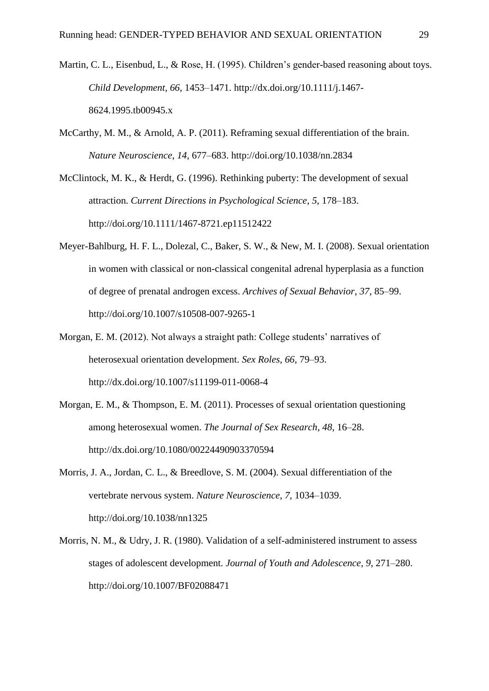- Martin, C. L., Eisenbud, L., & Rose, H. (1995). Children's gender-based reasoning about toys. *Child Development, 66*, 1453–1471. http://dx.doi.org/10.1111/j.1467- 8624.1995.tb00945.x
- McCarthy, M. M., & Arnold, A. P. (2011). Reframing sexual differentiation of the brain. *Nature Neuroscience*, *14*, 677–683. http://doi.org/10.1038/nn.2834

McClintock, M. K., & Herdt, G. (1996). Rethinking puberty: The development of sexual attraction. *Current Directions in Psychological Science*, *5*, 178–183. http://doi.org/10.1111/1467-8721.ep11512422

- Meyer-Bahlburg, H. F. L., Dolezal, C., Baker, S. W., & New, M. I. (2008). Sexual orientation in women with classical or non-classical congenital adrenal hyperplasia as a function of degree of prenatal androgen excess. *Archives of Sexual Behavior*, *37*, 85–99. http://doi.org/10.1007/s10508-007-9265-1
- Morgan, E. M. (2012). Not always a straight path: College students' narratives of heterosexual orientation development. *Sex Roles*, *66*, 79–93. http://dx.doi.org/10.1007/s11199-011-0068-4
- Morgan, E. M., & Thompson, E. M. (2011). Processes of sexual orientation questioning among heterosexual women. *The Journal of Sex Research*, *48*, 16–28. http://dx.doi.org/10.1080/00224490903370594
- Morris, J. A., Jordan, C. L., & Breedlove, S. M. (2004). Sexual differentiation of the vertebrate nervous system. *Nature Neuroscience*, *7*, 1034–1039. http://doi.org/10.1038/nn1325
- Morris, N. M., & Udry, J. R. (1980). Validation of a self-administered instrument to assess stages of adolescent development. *Journal of Youth and Adolescence, 9*, 271–280. http://doi.org/10.1007/BF02088471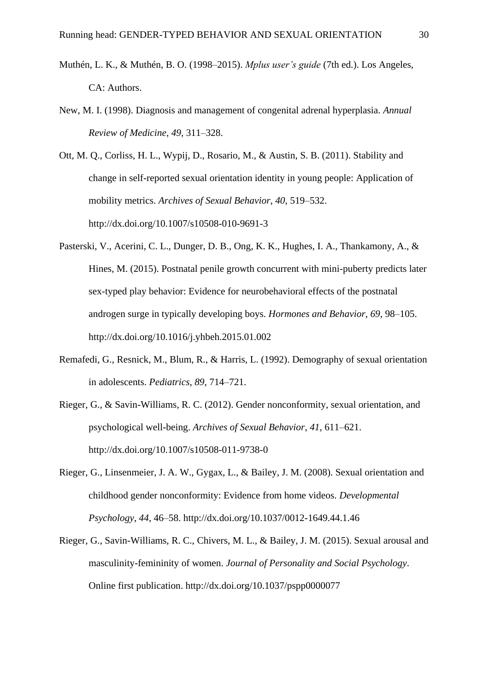- Muthén, L. K., & Muthén, B. O. (1998–2015). *Mplus user's guide* (7th ed.). Los Angeles, CA: Authors.
- New, M. I. (1998). Diagnosis and management of congenital adrenal hyperplasia. *Annual Review of Medicine*, *49*, 311–328.

Ott, M. Q., Corliss, H. L., Wypij, D., Rosario, M., & Austin, S. B. (2011). Stability and change in self-reported sexual orientation identity in young people: Application of mobility metrics. *Archives of Sexual Behavior*, *40*, 519–532. http://dx.doi.org/10.1007/s10508-010-9691-3

- Pasterski, V., Acerini, C. L., Dunger, D. B., Ong, K. K., Hughes, I. A., Thankamony, A., & Hines, M. (2015). Postnatal penile growth concurrent with mini-puberty predicts later sex-typed play behavior: Evidence for neurobehavioral effects of the postnatal androgen surge in typically developing boys. *Hormones and Behavior*, *69*, 98–105. http://dx.doi.org/10.1016/j.yhbeh.2015.01.002
- Remafedi, G., Resnick, M., Blum, R., & Harris, L. (1992). Demography of sexual orientation in adolescents. *Pediatrics*, *89*, 714–721.
- Rieger, G., & Savin-Williams, R. C. (2012). Gender nonconformity, sexual orientation, and psychological well-being. *Archives of Sexual Behavior*, *41*, 611–621. <http://dx.doi.org/10.1007/s10508-011-9738-0>
- Rieger, G., Linsenmeier, J. A. W., Gygax, L., & Bailey, J. M. (2008). Sexual orientation and childhood gender nonconformity: Evidence from home videos. *Developmental Psychology*, *44*, 46–58. http://dx.doi.org/10.1037/0012-1649.44.1.46
- Rieger, G., Savin-Williams, R. C., Chivers, M. L., & Bailey, J. M. (2015). Sexual arousal and masculinity-femininity of women. *Journal of Personality and Social Psychology*. Online first publication. http://dx.doi.org/10.1037/pspp0000077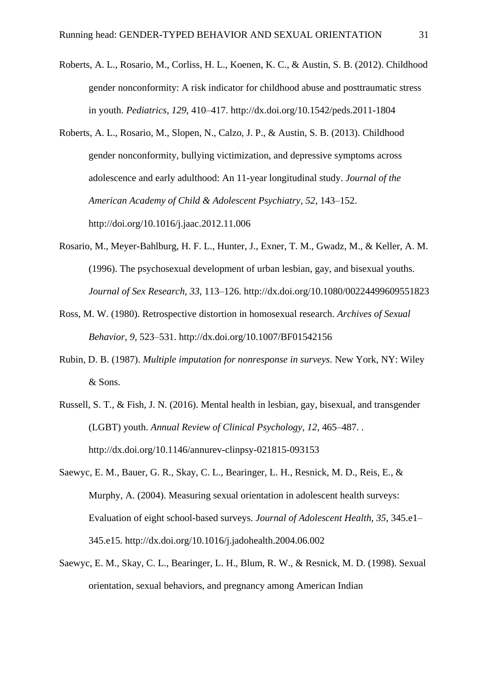- Roberts, A. L., Rosario, M., Corliss, H. L., Koenen, K. C., & Austin, S. B. (2012). Childhood gender nonconformity: A risk indicator for childhood abuse and posttraumatic stress in youth. *Pediatrics*, *129*, 410–417. http://dx.doi.org/10.1542/peds.2011-1804
- Roberts, A. L., Rosario, M., Slopen, N., Calzo, J. P., & Austin, S. B. (2013). Childhood gender nonconformity, bullying victimization, and depressive symptoms across adolescence and early adulthood: An 11-year longitudinal study. *Journal of the American Academy of Child & Adolescent Psychiatry*, *52*, 143–152. http://doi.org/10.1016/j.jaac.2012.11.006
- Rosario, M., Meyer-Bahlburg, H. F. L., Hunter, J., Exner, T. M., Gwadz, M., & Keller, A. M. (1996). The psychosexual development of urban lesbian, gay, and bisexual youths. *Journal of Sex Research*, *33*, 113–126. http://dx.doi.org/10.1080/00224499609551823
- Ross, M. W. (1980). Retrospective distortion in homosexual research. *Archives of Sexual Behavior, 9*, 523–531. http://dx.doi.org/10.1007/BF01542156
- Rubin, D. B. (1987). *Multiple imputation for nonresponse in surveys*. New York, NY: Wiley & Sons.
- Russell, S. T., & Fish, J. N. (2016). Mental health in lesbian, gay, bisexual, and transgender (LGBT) youth. *Annual Review of Clinical Psychology, 12*, 465–487. . http://dx.doi.org/10.1146/annurev-clinpsy-021815-093153
- Saewyc, E. M., Bauer, G. R., Skay, C. L., Bearinger, L. H., Resnick, M. D., Reis, E., & Murphy, A. (2004). Measuring sexual orientation in adolescent health surveys: Evaluation of eight school-based surveys. *Journal of Adolescent Health*, *35*, 345.e1– 345.e15. http://dx.doi.org/10.1016/j.jadohealth.2004.06.002
- Saewyc, E. M., Skay, C. L., Bearinger, L. H., Blum, R. W., & Resnick, M. D. (1998). Sexual orientation, sexual behaviors, and pregnancy among American Indian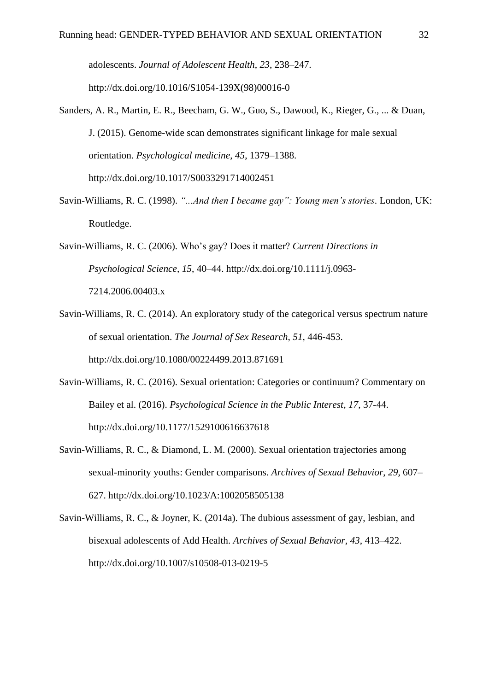adolescents. *Journal of Adolescent Health*, *23*, 238–247. http://dx.doi.org/10.1016/S1054-139X(98)00016-0

- Sanders, A. R., Martin, E. R., Beecham, G. W., Guo, S., Dawood, K., Rieger, G., ... & Duan, J. (2015). Genome-wide scan demonstrates significant linkage for male sexual orientation. *Psychological medicine*, *45*, 1379–1388. http://dx.doi.org/10.1017/S0033291714002451
- Savin-Williams, R. C. (1998). *"...And then I became gay": Young men's stories*. London, UK: Routledge.

Savin-Williams, R. C. (2006). Who's gay? Does it matter? *Current Directions in Psychological Science, 15*, 40–44. http://dx.doi.org/10.1111/j.0963- 7214.2006.00403.x

- Savin-Williams, R. C. (2014). An exploratory study of the categorical versus spectrum nature of sexual orientation. *The Journal of Sex Research*, *51*, 446-453. http://dx.doi.org/10.1080/00224499.2013.871691
- Savin-Williams, R. C. (2016). Sexual orientation: Categories or continuum? Commentary on Bailey et al. (2016). *Psychological Science in the Public Interest*, *17*, 37-44. http://dx.doi.org/10.1177/1529100616637618
- Savin-Williams, R. C., & Diamond, L. M. (2000). Sexual orientation trajectories among sexual-minority youths: Gender comparisons. *Archives of Sexual Behavior*, *29*, 607– 627. http://dx.doi.org/10.1023/A:1002058505138
- Savin-Williams, R. C., & Joyner, K. (2014a). The dubious assessment of gay, lesbian, and bisexual adolescents of Add Health. *Archives of Sexual Behavior*, *43*, 413–422. http://dx.doi.org/10.1007/s10508-013-0219-5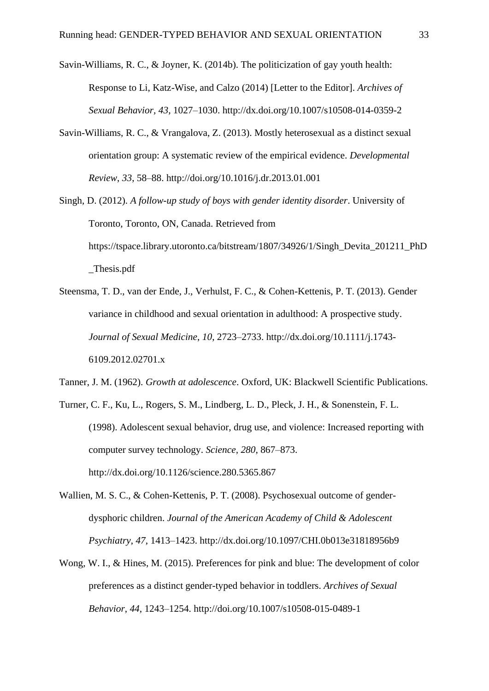Savin-Williams, R. C., & Joyner, K. (2014b). The politicization of gay youth health: Response to Li, Katz-Wise, and Calzo (2014) [Letter to the Editor]. *Archives of Sexual Behavior, 43*, 1027–1030. http://dx.doi.org/10.1007/s10508-014-0359-2

- Savin-Williams, R. C., & Vrangalova, Z. (2013). Mostly heterosexual as a distinct sexual orientation group: A systematic review of the empirical evidence. *Developmental Review*, *33*, 58–88. http://doi.org/10.1016/j.dr.2013.01.001
- Singh, D. (2012). *A follow-up study of boys with gender identity disorder*. University of Toronto, Toronto, ON, Canada. Retrieved from https://tspace.library.utoronto.ca/bitstream/1807/34926/1/Singh\_Devita\_201211\_PhD \_Thesis.pdf
- Steensma, T. D., van der Ende, J., Verhulst, F. C., & Cohen-Kettenis, P. T. (2013). Gender variance in childhood and sexual orientation in adulthood: A prospective study. *Journal of Sexual Medicine*, *10*, 2723–2733. http://dx.doi.org/10.1111/j.1743- 6109.2012.02701.x
- Tanner, J. M. (1962). *Growth at adolescence*. Oxford, UK: Blackwell Scientific Publications.
- Turner, C. F., Ku, L., Rogers, S. M., Lindberg, L. D., Pleck, J. H., & Sonenstein, F. L. (1998). Adolescent sexual behavior, drug use, and violence: Increased reporting with computer survey technology. *Science, 280*, 867–873. http://dx.doi.org/10.1126/science.280.5365.867
- Wallien, M. S. C., & Cohen-Kettenis, P. T. (2008). Psychosexual outcome of genderdysphoric children. *Journal of the American Academy of Child & Adolescent Psychiatry*, *47*, 1413–1423. http://dx.doi.org/10.1097/CHI.0b013e31818956b9
- Wong, W. I., & Hines, M. (2015). Preferences for pink and blue: The development of color preferences as a distinct gender-typed behavior in toddlers. *Archives of Sexual Behavior*, *44*, 1243–1254. http://doi.org/10.1007/s10508-015-0489-1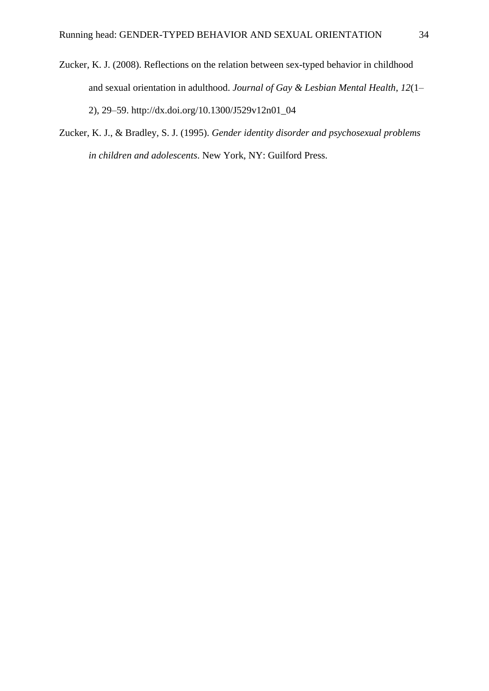- Zucker, K. J. (2008). Reflections on the relation between sex-typed behavior in childhood and sexual orientation in adulthood. *Journal of Gay & Lesbian Mental Health*, *12*(1– 2), 29–59. http://dx.doi.org/10.1300/J529v12n01\_04
- Zucker, K. J., & Bradley, S. J. (1995). *Gender identity disorder and psychosexual problems in children and adolescents*. New York, NY: Guilford Press.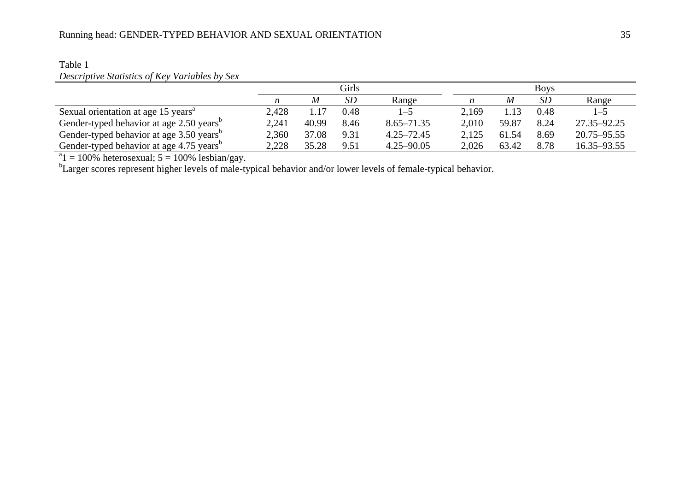|                                                      |       |       | Girls     |                |       |       | <b>Boys</b> |             |
|------------------------------------------------------|-------|-------|-----------|----------------|-------|-------|-------------|-------------|
|                                                      | n     | M     | <i>SD</i> | Range          | n     | M     | SD          | Range       |
| Sexual orientation at age 15 years <sup>a</sup>      | 2,428 |       | 0.48      | $-5$           | 2,169 | 1.13  | 0.48        | $1 - 5$     |
| Gender-typed behavior at age 2.50 years <sup>o</sup> | 2,241 | 40.99 | 8.46      | $8.65 - 71.35$ | 2,010 | 59.87 | 8.24        | 27.35–92.25 |
| Gender-typed behavior at age 3.50 years <sup>b</sup> | 2,360 | 37.08 | 9.31      | $4.25 - 72.45$ | 2,125 | 61.54 | 8.69        | 20.75–95.55 |
| Gender-typed behavior at age 4.75 years <sup>b</sup> | 2,228 | 35.28 | 9.51      | $4.25 - 90.05$ | 2,026 | 63.42 | 8.78        | 16.35–93.55 |

#### Table 1 *Descriptive Statistics of Key Variables by Sex*

 $a_1 = 100\%$  heterosexual; 5 = 100% lesbian/gay.<br>
Exatler scores represent higher levels of male-typical behavior and/or lower levels of female-typical behavior.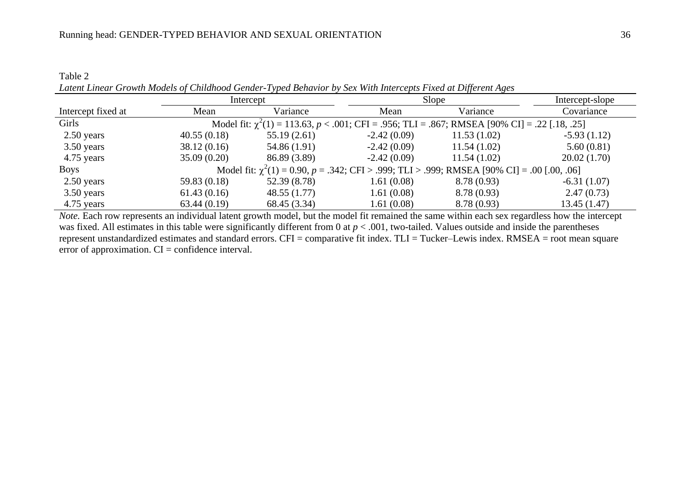Table 2 *Latent Linear Growth Models of Childhood Gender-Typed Behavior by Sex With Intercepts Fixed at Different Ages*

|                    |              | Intercept    |               | Slope                                                                                                  | Intercept-slope |
|--------------------|--------------|--------------|---------------|--------------------------------------------------------------------------------------------------------|-----------------|
| Intercept fixed at | Mean         | Variance     | Mean          | Variance                                                                                               | Covariance      |
| Girls              |              |              |               | Model fit: $\chi^2(1) = 113.63$ , $p < .001$ ; CFI = .956; TLI = .867; RMSEA [90% CI] = .22 [.18, .25] |                 |
| 2.50 years         | 40.55(0.18)  | 55.19(2.61)  | $-2.42(0.09)$ | 11.53(1.02)                                                                                            | $-5.93(1.12)$   |
| 3.50 years         | 38.12(0.16)  | 54.86 (1.91) | $-2.42(0.09)$ | 11.54(1.02)                                                                                            | 5.60(0.81)      |
| 4.75 years         | 35.09(0.20)  | 86.89 (3.89) | $-2.42(0.09)$ | 11.54(1.02)                                                                                            | 20.02(1.70)     |
| Boys               |              |              |               | Model fit: $\chi^2(1) = 0.90$ , $p = .342$ ; CFI > .999; TLI > .999; RMSEA [90% CI] = .00 [.00, .06]   |                 |
| 2.50 years         | 59.83 (0.18) | 52.39 (8.78) | 1.61(0.08)    | 8.78(0.93)                                                                                             | $-6.31(1.07)$   |
| 3.50 years         | 61.43(0.16)  | 48.55(1.77)  | 1.61(0.08)    | 8.78(0.93)                                                                                             | 2.47(0.73)      |
| 4.75 years         | 63.44(0.19)  | 68.45 (3.34) | 1.61(0.08)    | 8.78(0.93)                                                                                             | 13.45(1.47)     |

*Note.* Each row represents an individual latent growth model, but the model fit remained the same within each sex regardless how the intercept was fixed. All estimates in this table were significantly different from 0 at  $p < .001$ , two-tailed. Values outside and inside the parentheses represent unstandardized estimates and standard errors. CFI = comparative fit index. TLI = Tucker–Lewis index. RMSEA = root mean square error of approximation.  $CI =$  confidence interval.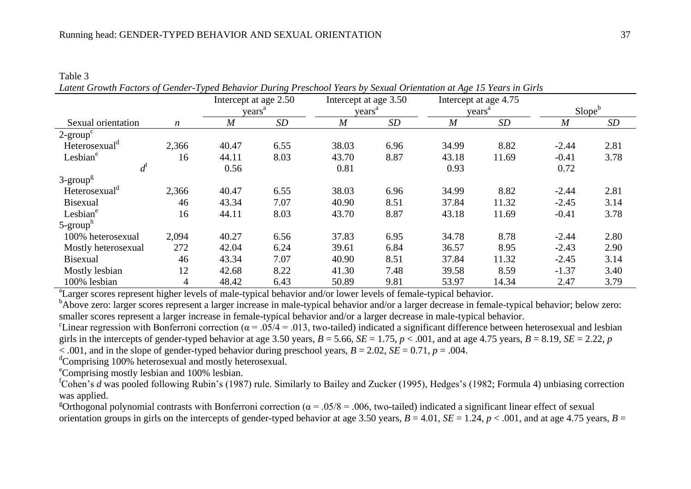Table 3 *Latent Growth Factors of Gender-Typed Behavior During Preschool Years by Sexual Orientation at Age 15 Years in Girls*

|                           |                  |                | Intercept at age 2.50<br>years <sup>a</sup> |                  | Intercept at age 3.50<br>years <sup>a</sup> | Intercept at age 4.75<br>years <sup>a</sup> |       | Slope <sup>b</sup> |      |
|---------------------------|------------------|----------------|---------------------------------------------|------------------|---------------------------------------------|---------------------------------------------|-------|--------------------|------|
| Sexual orientation        | $\boldsymbol{n}$ | $\overline{M}$ | SD                                          | $\boldsymbol{M}$ | SD                                          | $\overline{M}$                              | SD    | $\boldsymbol{M}$   | SD   |
| $2\text{-}group^c$        |                  |                |                                             |                  |                                             |                                             |       |                    |      |
| Heterosexual <sup>d</sup> | 2,366            | 40.47          | 6.55                                        | 38.03            | 6.96                                        | 34.99                                       | 8.82  | $-2.44$            | 2.81 |
| Lesbian <sup>e</sup>      | 16               | 44.11          | 8.03                                        | 43.70            | 8.87                                        | 43.18                                       | 11.69 | $-0.41$            | 3.78 |
| $d^{\rm f}$               |                  | 0.56           |                                             | 0.81             |                                             | 0.93                                        |       | 0.72               |      |
| $3$ -group <sup>g</sup>   |                  |                |                                             |                  |                                             |                                             |       |                    |      |
| Heterosexual <sup>d</sup> | 2,366            | 40.47          | 6.55                                        | 38.03            | 6.96                                        | 34.99                                       | 8.82  | $-2.44$            | 2.81 |
| <b>Bisexual</b>           | 46               | 43.34          | 7.07                                        | 40.90            | 8.51                                        | 37.84                                       | 11.32 | $-2.45$            | 3.14 |
| Lesbian <sup>e</sup>      | 16               | 44.11          | 8.03                                        | 43.70            | 8.87                                        | 43.18                                       | 11.69 | $-0.41$            | 3.78 |
| $5\text{-}grouph$         |                  |                |                                             |                  |                                             |                                             |       |                    |      |
| 100% heterosexual         | 2,094            | 40.27          | 6.56                                        | 37.83            | 6.95                                        | 34.78                                       | 8.78  | $-2.44$            | 2.80 |
| Mostly heterosexual       | 272              | 42.04          | 6.24                                        | 39.61            | 6.84                                        | 36.57                                       | 8.95  | $-2.43$            | 2.90 |
| <b>Bisexual</b>           | 46               | 43.34          | 7.07                                        | 40.90            | 8.51                                        | 37.84                                       | 11.32 | $-2.45$            | 3.14 |
| Mostly lesbian            | 12               | 42.68          | 8.22                                        | 41.30            | 7.48                                        | 39.58                                       | 8.59  | $-1.37$            | 3.40 |
| 100% lesbian              | $\overline{4}$   | 48.42          | 6.43                                        | 50.89            | 9.81                                        | 53.97                                       | 14.34 | 2.47               | 3.79 |

<sup>a</sup>Larger scores represent higher levels of male-typical behavior and/or lower levels of female-typical behavior.

<sup>b</sup>Above zero: larger scores represent a larger increase in male-typical behavior and/or a larger decrease in female-typical behavior; below zero: smaller scores represent a larger increase in female-typical behavior and/or a larger decrease in male-typical behavior.

<sup>c</sup>Linear regression with Bonferroni correction ( $\alpha = .05/4 = .013$ , two-tailed) indicated a significant difference between heterosexual and lesbian girls in the intercepts of gender-typed behavior at age 3.50 years,  $B = 5.66$ ,  $SE = 1.75$ ,  $p < .001$ , and at age 4.75 years,  $B = 8.19$ ,  $SE = 2.22$ ,  $p$  $< .001$ , and in the slope of gender-typed behavior during preschool years,  $B = 2.02$ ,  $SE = 0.71$ ,  $p = .004$ .

<sup>d</sup>Comprising 100% heterosexual and mostly heterosexual.

<sup>e</sup>Comprising mostly lesbian and 100% lesbian.

<sup>f</sup>Cohen's *d* was pooled following Rubin's (1987) rule. Similarly to Bailey and Zucker (1995), Hedges's (1982; Formula 4) unbiasing correction was applied.

<sup>g</sup>Orthogonal polynomial contrasts with Bonferroni correction ( $\alpha$  = .05/8 = .006, two-tailed) indicated a significant linear effect of sexual orientation groups in girls on the intercepts of gender-typed behavior at age 3.50 years,  $B = 4.01$ ,  $SE = 1.24$ ,  $p < .001$ , and at age 4.75 years,  $B =$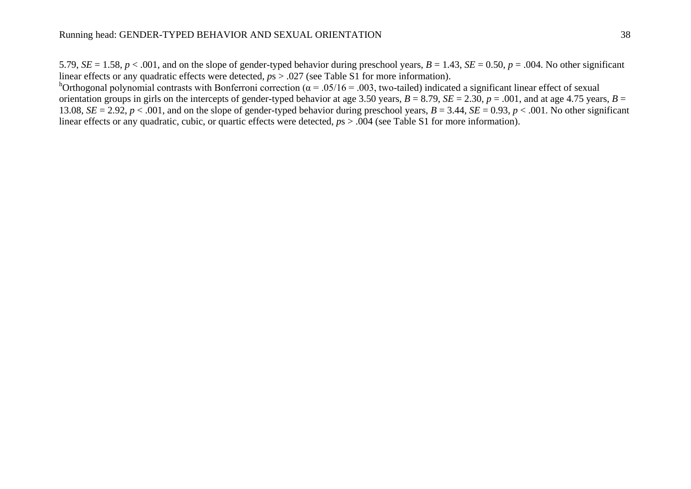5.79,  $SE = 1.58$ ,  $p < .001$ , and on the slope of gender-typed behavior during preschool years,  $B = 1.43$ ,  $SE = 0.50$ ,  $p = .004$ . No other significant linear effects or any quadratic effects were detected,  $p_s > .027$  (see Table S1 for more information).

horthogonal polynomial contrasts with Bonferroni correction ( $\alpha$  = .05/16 = .003, two-tailed) indicated a significant linear effect of sexual orientation groups in girls on the intercepts of gender-typed behavior at age 3.50 years,  $B = 8.79$ ,  $SE = 2.30$ ,  $p = .001$ , and at age 4.75 years,  $B =$ 13.08,  $SE = 2.92$ ,  $p < .001$ , and on the slope of gender-typed behavior during preschool years,  $B = 3.44$ ,  $SE = 0.93$ ,  $p < .001$ . No other significant linear effects or any quadratic, cubic, or quartic effects were detected,  $p_s > .004$  (see Table S1 for more information).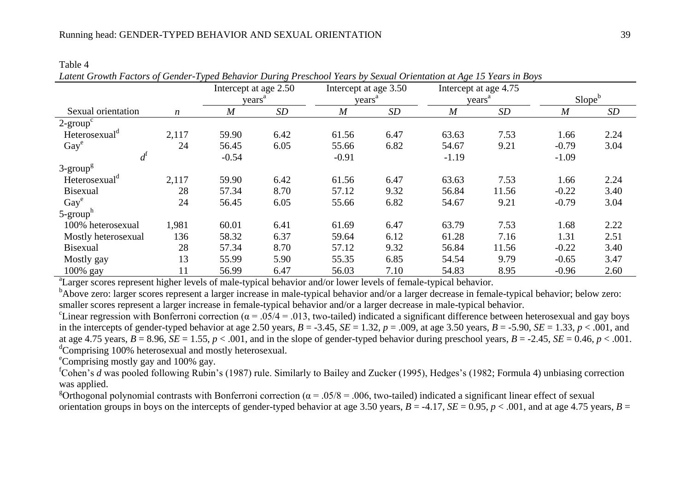|                           |                  | Intercept at age 2.50 | $\cdots$ | Intercept at age 3.50 |      |                  | Intercept at age 4.75 |                    |      |
|---------------------------|------------------|-----------------------|----------|-----------------------|------|------------------|-----------------------|--------------------|------|
|                           |                  | years <sup>a</sup>    |          | years <sup>a</sup>    |      |                  | years <sup>a</sup>    | Slope <sup>b</sup> |      |
| Sexual orientation        | $\boldsymbol{n}$ | $\boldsymbol{M}$      | SD       | $\boldsymbol{M}$      | SD   | $\boldsymbol{M}$ | SD                    | $\boldsymbol{M}$   | SD   |
| $2\text{-}group^c$        |                  |                       |          |                       |      |                  |                       |                    |      |
| Heterosexual <sup>d</sup> | 2,117            | 59.90                 | 6.42     | 61.56                 | 6.47 | 63.63            | 7.53                  | 1.66               | 2.24 |
| $\text{Gay}^e$            | 24               | 56.45                 | 6.05     | 55.66                 | 6.82 | 54.67            | 9.21                  | $-0.79$            | 3.04 |
| $d^{\rm t}$               |                  | $-0.54$               |          | $-0.91$               |      | $-1.19$          |                       | $-1.09$            |      |
| $3$ -group <sup>g</sup>   |                  |                       |          |                       |      |                  |                       |                    |      |
| Heterosexual <sup>d</sup> | 2,117            | 59.90                 | 6.42     | 61.56                 | 6.47 | 63.63            | 7.53                  | 1.66               | 2.24 |
| Bisexual                  | 28               | 57.34                 | 8.70     | 57.12                 | 9.32 | 56.84            | 11.56                 | $-0.22$            | 3.40 |
| Gay <sup>e</sup>          | 24               | 56.45                 | 6.05     | 55.66                 | 6.82 | 54.67            | 9.21                  | $-0.79$            | 3.04 |
| $5$ -group <sup>h</sup>   |                  |                       |          |                       |      |                  |                       |                    |      |
| 100% heterosexual         | 1,981            | 60.01                 | 6.41     | 61.69                 | 6.47 | 63.79            | 7.53                  | 1.68               | 2.22 |
| Mostly heterosexual       | 136              | 58.32                 | 6.37     | 59.64                 | 6.12 | 61.28            | 7.16                  | 1.31               | 2.51 |
| <b>Bisexual</b>           | 28               | 57.34                 | 8.70     | 57.12                 | 9.32 | 56.84            | 11.56                 | $-0.22$            | 3.40 |
| Mostly gay                | 13               | 55.99                 | 5.90     | 55.35                 | 6.85 | 54.54            | 9.79                  | $-0.65$            | 3.47 |
| 100% gay                  | 11               | 56.99                 | 6.47     | 56.03                 | 7.10 | 54.83            | 8.95                  | $-0.96$            | 2.60 |

| . |  |  |                                                                                                                     |  |
|---|--|--|---------------------------------------------------------------------------------------------------------------------|--|
|   |  |  | Latent Growth Factors of Gender-Typed Behavior During Preschool Years by Sexual Orientation at Age 15 Years in Boys |  |

<sup>a</sup>Larger scores represent higher levels of male-typical behavior and/or lower levels of female-typical behavior.

<sup>b</sup>Above zero: larger scores represent a larger increase in male-typical behavior and/or a larger decrease in female-typical behavior; below zero: smaller scores represent a larger increase in female-typical behavior and/or a larger decrease in male-typical behavior.

<sup>c</sup>Linear regression with Bonferroni correction ( $\alpha = .05/4 = .013$ , two-tailed) indicated a significant difference between heterosexual and gay boys in the intercepts of gender-typed behavior at age 2.50 years,  $B = -3.45$ ,  $SE = 1.32$ ,  $p = .009$ , at age 3.50 years,  $B = -5.90$ ,  $SE = 1.33$ ,  $p < .001$ , and at age 4.75 years,  $B = 8.96$ ,  $SE = 1.55$ ,  $p < .001$ , and in the slope of gender-typed behavior during preschool years,  $B = -2.45$ ,  $SE = 0.46$ ,  $p < .001$ . <sup>d</sup>Comprising 100% heterosexual and mostly heterosexual.

<sup>e</sup>Comprising mostly gay and 100% gay.

Table 4

<sup>f</sup>Cohen's *d* was pooled following Rubin's (1987) rule. Similarly to Bailey and Zucker (1995), Hedges's (1982; Formula 4) unbiasing correction was applied.

<sup>g</sup>Orthogonal polynomial contrasts with Bonferroni correction ( $\alpha$  = .05/8 = .006, two-tailed) indicated a significant linear effect of sexual orientation groups in boys on the intercepts of gender-typed behavior at age 3.50 years,  $B = -4.17$ ,  $SE = 0.95$ ,  $p < .001$ , and at age 4.75 years,  $B =$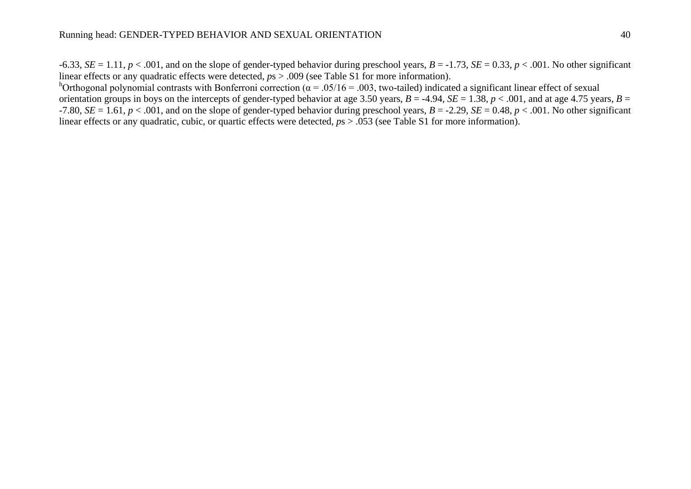$-6.33$ ,  $SE = 1.11$ ,  $p < .001$ , and on the slope of gender-typed behavior during preschool years,  $B = -1.73$ ,  $SE = 0.33$ ,  $p < .001$ . No other significant linear effects or any quadratic effects were detected,  $p_s > .009$  (see Table S1 for more information).

horthogonal polynomial contrasts with Bonferroni correction ( $\alpha$  = .05/16 = .003, two-tailed) indicated a significant linear effect of sexual orientation groups in boys on the intercepts of gender-typed behavior at age 3.50 years,  $B = -4.94$ ,  $SE = 1.38$ ,  $p < .001$ , and at age 4.75 years,  $B =$ -7.80,  $SE = 1.61$ ,  $p < .001$ , and on the slope of gender-typed behavior during preschool years,  $B = -2.29$ ,  $SE = 0.48$ ,  $p < .001$ . No other significant linear effects or any quadratic, cubic, or quartic effects were detected,  $p_s > .053$  (see Table S1 for more information).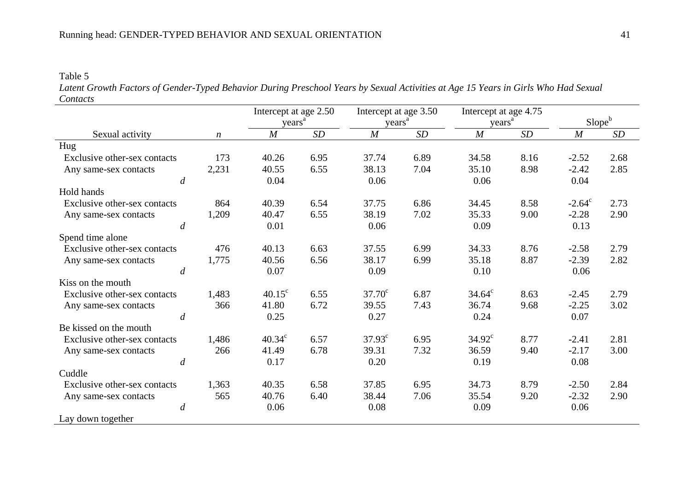Table 5 *Latent Growth Factors of Gender-Typed Behavior During Preschool Years by Sexual Activities at Age 15 Years in Girls Who Had Sexual Contacts*

|                              |                  |                    | Intercept at age 2.50 |                    | Intercept at age 3.50 | Intercept at age 4.75 |      |                    |      |
|------------------------------|------------------|--------------------|-----------------------|--------------------|-----------------------|-----------------------|------|--------------------|------|
|                              |                  | years <sup>a</sup> |                       | years <sup>a</sup> |                       | vears <sup>a</sup>    |      | Slope <sup>b</sup> |      |
| Sexual activity              | $\boldsymbol{n}$ | $\boldsymbol{M}$   | SD                    | $\boldsymbol{M}$   | SD                    | M                     | SD   | $\boldsymbol{M}$   | SD   |
| Hug                          |                  |                    |                       |                    |                       |                       |      |                    |      |
| Exclusive other-sex contacts | 173              | 40.26              | 6.95                  | 37.74              | 6.89                  | 34.58                 | 8.16 | $-2.52$            | 2.68 |
| Any same-sex contacts        | 2,231            | 40.55              | 6.55                  | 38.13              | 7.04                  | 35.10                 | 8.98 | $-2.42$            | 2.85 |
| $\overline{d}$               |                  | 0.04               |                       | 0.06               |                       | 0.06                  |      | 0.04               |      |
| Hold hands                   |                  |                    |                       |                    |                       |                       |      |                    |      |
| Exclusive other-sex contacts | 864              | 40.39              | 6.54                  | 37.75              | 6.86                  | 34.45                 | 8.58 | $-2.64^{\circ}$    | 2.73 |
| Any same-sex contacts        | 1,209            | 40.47              | 6.55                  | 38.19              | 7.02                  | 35.33                 | 9.00 | $-2.28$            | 2.90 |
| $\boldsymbol{d}$             |                  | 0.01               |                       | 0.06               |                       | 0.09                  |      | 0.13               |      |
| Spend time alone             |                  |                    |                       |                    |                       |                       |      |                    |      |
| Exclusive other-sex contacts | 476              | 40.13              | 6.63                  | 37.55              | 6.99                  | 34.33                 | 8.76 | $-2.58$            | 2.79 |
| Any same-sex contacts        | 1,775            | 40.56              | 6.56                  | 38.17              | 6.99                  | 35.18                 | 8.87 | $-2.39$            | 2.82 |
| $\overline{d}$               |                  | 0.07               |                       | 0.09               |                       | 0.10                  |      | 0.06               |      |
| Kiss on the mouth            |                  |                    |                       |                    |                       |                       |      |                    |      |
| Exclusive other-sex contacts | 1,483            | $40.15^{\circ}$    | 6.55                  | $37.70^{\circ}$    | 6.87                  | $34.64^{\circ}$       | 8.63 | $-2.45$            | 2.79 |
| Any same-sex contacts        | 366              | 41.80              | 6.72                  | 39.55              | 7.43                  | 36.74                 | 9.68 | $-2.25$            | 3.02 |
| $\overline{d}$               |                  | 0.25               |                       | 0.27               |                       | 0.24                  |      | 0.07               |      |
| Be kissed on the mouth       |                  |                    |                       |                    |                       |                       |      |                    |      |
| Exclusive other-sex contacts | 1,486            | $40.34^{\circ}$    | 6.57                  | $37.93^{\circ}$    | 6.95                  | $34.92^{\circ}$       | 8.77 | $-2.41$            | 2.81 |
| Any same-sex contacts        | 266              | 41.49              | 6.78                  | 39.31              | 7.32                  | 36.59                 | 9.40 | $-2.17$            | 3.00 |
| $\overline{d}$               |                  | 0.17               |                       | 0.20               |                       | 0.19                  |      | 0.08               |      |
| Cuddle                       |                  |                    |                       |                    |                       |                       |      |                    |      |
| Exclusive other-sex contacts | 1,363            | 40.35              | 6.58                  | 37.85              | 6.95                  | 34.73                 | 8.79 | $-2.50$            | 2.84 |
| Any same-sex contacts        | 565              | 40.76              | 6.40                  | 38.44              | 7.06                  | 35.54                 | 9.20 | $-2.32$            | 2.90 |
| $\boldsymbol{d}$             |                  | 0.06               |                       | 0.08               |                       | 0.09                  |      | 0.06               |      |
| Lay down together            |                  |                    |                       |                    |                       |                       |      |                    |      |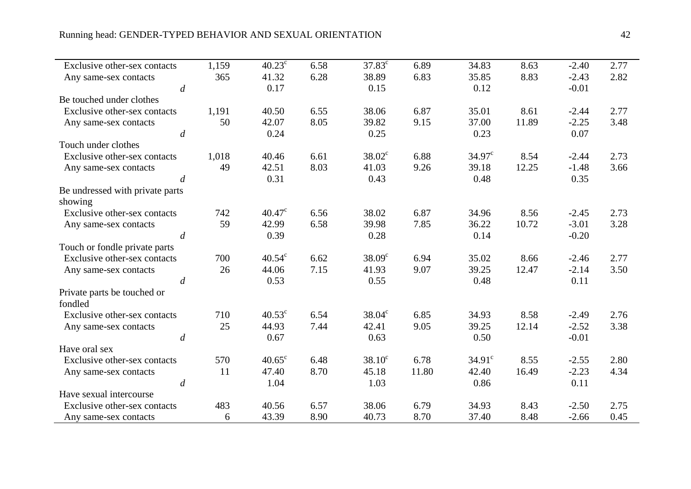| Exclusive other-sex contacts    | 1,159 | $40.23^{\circ}$ | 6.58 | $37.83^{\circ}$ | 6.89  | 34.83           | 8.63  | $-2.40$ | 2.77 |
|---------------------------------|-------|-----------------|------|-----------------|-------|-----------------|-------|---------|------|
| Any same-sex contacts           | 365   | 41.32           | 6.28 | 38.89           | 6.83  | 35.85           | 8.83  | $-2.43$ | 2.82 |
| $\boldsymbol{d}$                |       | 0.17            |      | 0.15            |       | 0.12            |       | $-0.01$ |      |
| Be touched under clothes        |       |                 |      |                 |       |                 |       |         |      |
| Exclusive other-sex contacts    | 1,191 | 40.50           | 6.55 | 38.06           | 6.87  | 35.01           | 8.61  | $-2.44$ | 2.77 |
| Any same-sex contacts           | 50    | 42.07           | 8.05 | 39.82           | 9.15  | 37.00           | 11.89 | $-2.25$ | 3.48 |
| $\boldsymbol{d}$                |       | 0.24            |      | 0.25            |       | 0.23            |       | 0.07    |      |
| Touch under clothes             |       |                 |      |                 |       |                 |       |         |      |
| Exclusive other-sex contacts    | 1,018 | 40.46           | 6.61 | $38.02^{\circ}$ | 6.88  | $34.97^{\circ}$ | 8.54  | $-2.44$ | 2.73 |
| Any same-sex contacts           | 49    | 42.51           | 8.03 | 41.03           | 9.26  | 39.18           | 12.25 | $-1.48$ | 3.66 |
| $\overline{d}$                  |       | 0.31            |      | 0.43            |       | 0.48            |       | 0.35    |      |
| Be undressed with private parts |       |                 |      |                 |       |                 |       |         |      |
| showing                         |       |                 |      |                 |       |                 |       |         |      |
| Exclusive other-sex contacts    | 742   | $40.47^{\circ}$ | 6.56 | 38.02           | 6.87  | 34.96           | 8.56  | $-2.45$ | 2.73 |
| Any same-sex contacts           | 59    | 42.99           | 6.58 | 39.98           | 7.85  | 36.22           | 10.72 | $-3.01$ | 3.28 |
| $\boldsymbol{d}$                |       | 0.39            |      | 0.28            |       | 0.14            |       | $-0.20$ |      |
| Touch or fondle private parts   |       |                 |      |                 |       |                 |       |         |      |
| Exclusive other-sex contacts    | 700   | $40.54^{\circ}$ | 6.62 | $38.09^{\circ}$ | 6.94  | 35.02           | 8.66  | $-2.46$ | 2.77 |
| Any same-sex contacts           | 26    | 44.06           | 7.15 | 41.93           | 9.07  | 39.25           | 12.47 | $-2.14$ | 3.50 |
| $\overline{d}$                  |       | 0.53            |      | 0.55            |       | 0.48            |       | 0.11    |      |
| Private parts be touched or     |       |                 |      |                 |       |                 |       |         |      |
| fondled                         |       |                 |      |                 |       |                 |       |         |      |
| Exclusive other-sex contacts    | 710   | $40.53^{\circ}$ | 6.54 | $38.04^c$       | 6.85  | 34.93           | 8.58  | $-2.49$ | 2.76 |
| Any same-sex contacts           | 25    | 44.93           | 7.44 | 42.41           | 9.05  | 39.25           | 12.14 | $-2.52$ | 3.38 |
| $\overline{d}$                  |       | 0.67            |      | 0.63            |       | 0.50            |       | $-0.01$ |      |
| Have oral sex                   |       |                 |      |                 |       |                 |       |         |      |
| Exclusive other-sex contacts    | 570   | $40.65^{\circ}$ | 6.48 | $38.10^{\circ}$ | 6.78  | $34.91^\circ$   | 8.55  | $-2.55$ | 2.80 |
| Any same-sex contacts           | 11    | 47.40           | 8.70 | 45.18           | 11.80 | 42.40           | 16.49 | $-2.23$ | 4.34 |
| $\boldsymbol{d}$                |       | 1.04            |      | 1.03            |       | 0.86            |       | 0.11    |      |
| Have sexual intercourse         |       |                 |      |                 |       |                 |       |         |      |
| Exclusive other-sex contacts    | 483   | 40.56           | 6.57 | 38.06           | 6.79  | 34.93           | 8.43  | $-2.50$ | 2.75 |
| Any same-sex contacts           | 6     | 43.39           | 8.90 | 40.73           | 8.70  | 37.40           | 8.48  | $-2.66$ | 0.45 |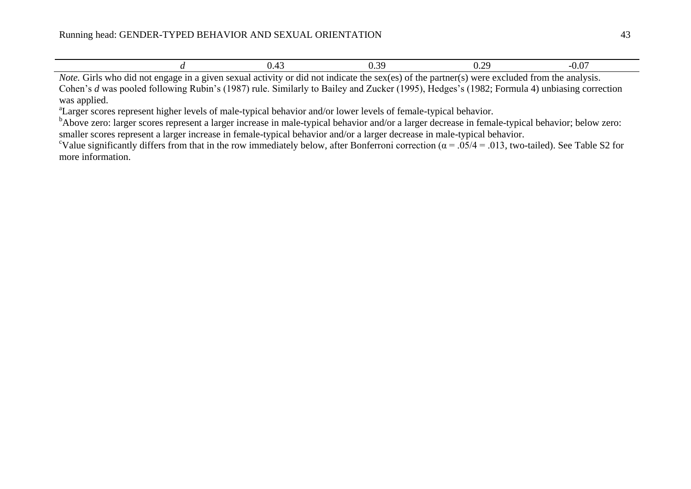|  | 77<br> | v.v |
|--|--------|-----|
|  |        |     |

*Note*. Girls who did not engage in a given sexual activity or did not indicate the sex(es) of the partner(s) were excluded from the analysis. Cohen's *d* was pooled following Rubin's (1987) rule. Similarly to Bailey and Zucker (1995), Hedges's (1982; Formula 4) unbiasing correction was applied.

<sup>a</sup>Larger scores represent higher levels of male-typical behavior and/or lower levels of female-typical behavior.

<sup>b</sup>Above zero: larger scores represent a larger increase in male-typical behavior and/or a larger decrease in female-typical behavior; below zero: smaller scores represent a larger increase in female-typical behavior and/or a larger decrease in male-typical behavior.

<sup>c</sup>Value significantly differs from that in the row immediately below, after Bonferroni correction ( $\alpha$  = .05/4 = .013, two-tailed). See Table S2 for more information.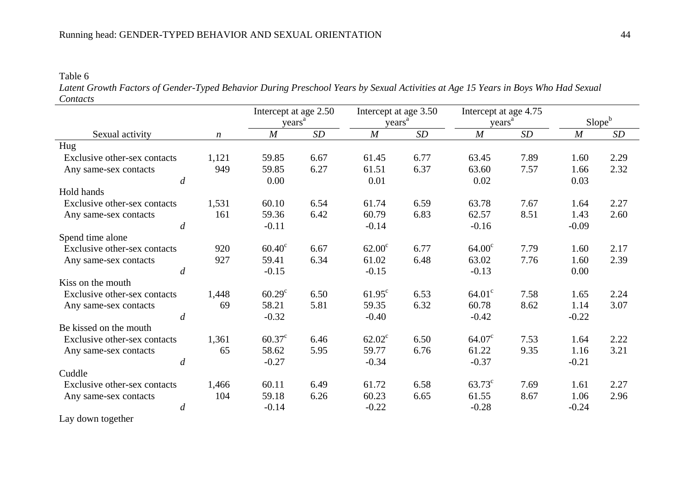Table 6

*Latent Growth Factors of Gender-Typed Behavior During Preschool Years by Sexual Activities at Age 15 Years in Boys Who Had Sexual Contacts*

|                                          |                  |                    | Intercept at age 2.50 |                    | Intercept at age 3.50 |                    | Intercept at age 4.75 |                  |                    |
|------------------------------------------|------------------|--------------------|-----------------------|--------------------|-----------------------|--------------------|-----------------------|------------------|--------------------|
|                                          |                  | years <sup>a</sup> |                       | years <sup>a</sup> |                       | years <sup>a</sup> |                       |                  | Slope <sup>b</sup> |
| Sexual activity                          | $\boldsymbol{n}$ | M                  | SD                    | $\boldsymbol{M}$   | SD                    | $\overline{M}$     | SD                    | $\boldsymbol{M}$ | SD                 |
| Hug                                      |                  |                    |                       |                    |                       |                    |                       |                  |                    |
| Exclusive other-sex contacts             | 1,121            | 59.85              | 6.67                  | 61.45              | 6.77                  | 63.45              | 7.89                  | 1.60             | 2.29               |
| Any same-sex contacts                    | 949              | 59.85              | 6.27                  | 61.51              | 6.37                  | 63.60              | 7.57                  | 1.66             | 2.32               |
| $\boldsymbol{d}$                         |                  | 0.00               |                       | 0.01               |                       | 0.02               |                       | 0.03             |                    |
| Hold hands                               |                  |                    |                       |                    |                       |                    |                       |                  |                    |
| Exclusive other-sex contacts             | 1,531            | 60.10              | 6.54                  | 61.74              | 6.59                  | 63.78              | 7.67                  | 1.64             | 2.27               |
| Any same-sex contacts                    | 161              | 59.36              | 6.42                  | 60.79              | 6.83                  | 62.57              | 8.51                  | 1.43             | 2.60               |
| $\overline{d}$                           |                  | $-0.11$            |                       | $-0.14$            |                       | $-0.16$            |                       | $-0.09$          |                    |
| Spend time alone                         |                  |                    |                       |                    |                       |                    |                       |                  |                    |
| Exclusive other-sex contacts             | 920              | $60.40^{\circ}$    | 6.67                  | $62.00^{\circ}$    | 6.77                  | 64.00 <sup>c</sup> | 7.79                  | 1.60             | 2.17               |
| Any same-sex contacts                    | 927              | 59.41              | 6.34                  | 61.02              | 6.48                  | 63.02              | 7.76                  | 1.60             | 2.39               |
| $\overline{d}$                           |                  | $-0.15$            |                       | $-0.15$            |                       | $-0.13$            |                       | 0.00             |                    |
| Kiss on the mouth                        |                  |                    |                       |                    |                       |                    |                       |                  |                    |
| Exclusive other-sex contacts             | 1,448            | $60.29^{\circ}$    | 6.50                  | $61.95^{\circ}$    | 6.53                  | $64.01^{\circ}$    | 7.58                  | 1.65             | 2.24               |
| Any same-sex contacts                    | 69               | 58.21              | 5.81                  | 59.35              | 6.32                  | 60.78              | 8.62                  | 1.14             | 3.07               |
| $\overline{d}$                           |                  | $-0.32$            |                       | $-0.40$            |                       | $-0.42$            |                       | $-0.22$          |                    |
| Be kissed on the mouth                   |                  |                    |                       |                    |                       |                    |                       |                  |                    |
| Exclusive other-sex contacts             | 1,361            | $60.37^{\circ}$    | 6.46                  | $62.02^{\circ}$    | 6.50                  | $64.07^{\circ}$    | 7.53                  | 1.64             | 2.22               |
| Any same-sex contacts                    | 65               | 58.62              | 5.95                  | 59.77              | 6.76                  | 61.22              | 9.35                  | 1.16             | 3.21               |
| $\overline{d}$                           |                  | $-0.27$            |                       | $-0.34$            |                       | $-0.37$            |                       | $-0.21$          |                    |
| Cuddle                                   |                  |                    |                       |                    |                       |                    |                       |                  |                    |
| Exclusive other-sex contacts             | 1,466            | 60.11              | 6.49                  | 61.72              | 6.58                  | $63.73^{\circ}$    | 7.69                  | 1.61             | 2.27               |
| Any same-sex contacts                    | 104              | 59.18              | 6.26                  | 60.23              | 6.65                  | 61.55              | 8.67                  | 1.06             | 2.96               |
| $\overline{d}$                           |                  | $-0.14$            |                       | $-0.22$            |                       | $-0.28$            |                       | $-0.24$          |                    |
| $\mathbf{r}$ and the set of $\mathbf{r}$ |                  |                    |                       |                    |                       |                    |                       |                  |                    |

Lay down together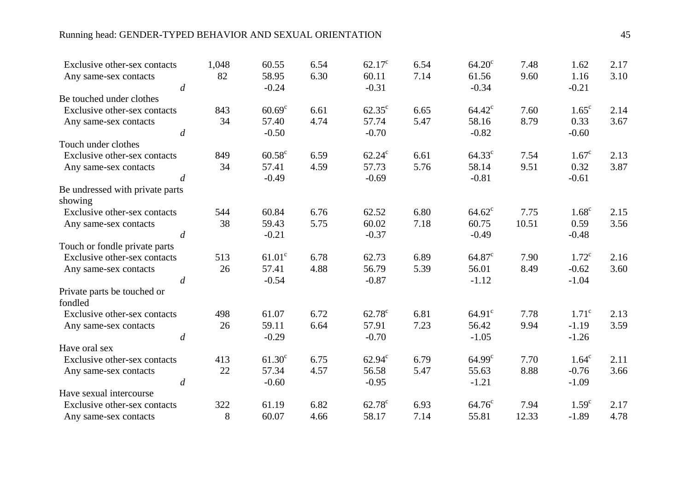## Running head: GENDER-TYPED BEHAVIOR AND SEXUAL ORIENTATION 45

| Exclusive other-sex contacts           |                  | 1,048 | 60.55              | 6.54 | $62.17^{\circ}$  | 6.54 | $64.20^{\circ}$  | 7.48  | 1.62              | 2.17 |
|----------------------------------------|------------------|-------|--------------------|------|------------------|------|------------------|-------|-------------------|------|
| Any same-sex contacts                  | $\boldsymbol{d}$ | 82    | 58.95<br>$-0.24$   | 6.30 | 60.11<br>$-0.31$ | 7.14 | 61.56<br>$-0.34$ | 9.60  | 1.16<br>$-0.21$   | 3.10 |
| Be touched under clothes               |                  |       |                    |      |                  |      |                  |       |                   |      |
| Exclusive other-sex contacts           |                  | 843   | $60.69^{\circ}$    | 6.61 | $62.35^{\circ}$  | 6.65 | $64.42^{\circ}$  | 7.60  | $1.65^{\circ}$    | 2.14 |
| Any same-sex contacts                  |                  | 34    | 57.40              | 4.74 | 57.74            | 5.47 | 58.16            | 8.79  | 0.33              | 3.67 |
|                                        | $\boldsymbol{d}$ |       | $-0.50$            |      | $-0.70$          |      | $-0.82$          |       | $-0.60$           |      |
| Touch under clothes                    |                  |       |                    |      |                  |      |                  |       |                   |      |
| Exclusive other-sex contacts           |                  | 849   | $60.58^{\circ}$    | 6.59 | $62.24^{\circ}$  | 6.61 | $64.33^{\circ}$  | 7.54  | $1.67^{\circ}$    | 2.13 |
| Any same-sex contacts                  |                  | 34    | 57.41              | 4.59 | 57.73            | 5.76 | 58.14            | 9.51  | 0.32              | 3.87 |
|                                        | $\boldsymbol{d}$ |       | $-0.49$            |      | $-0.69$          |      | $-0.81$          |       | $-0.61$           |      |
| Be undressed with private parts        |                  |       |                    |      |                  |      |                  |       |                   |      |
| showing                                |                  |       |                    |      |                  |      |                  |       |                   |      |
| Exclusive other-sex contacts           |                  | 544   | 60.84              | 6.76 | 62.52            | 6.80 | $64.62^{\circ}$  | 7.75  | $1.68^{\circ}$    | 2.15 |
| Any same-sex contacts                  |                  | 38    | 59.43              | 5.75 | 60.02            | 7.18 | 60.75            | 10.51 | 0.59              | 3.56 |
|                                        | $\boldsymbol{d}$ |       | $-0.21$            |      | $-0.37$          |      | $-0.49$          |       | $-0.48$           |      |
| Touch or fondle private parts          |                  |       |                    |      |                  |      |                  |       |                   |      |
| Exclusive other-sex contacts           |                  | 513   | 61.01 <sup>c</sup> | 6.78 | 62.73            | 6.89 | $64.87^{\circ}$  | 7.90  | 1.72 <sup>c</sup> | 2.16 |
| Any same-sex contacts                  |                  | 26    | 57.41              | 4.88 | 56.79            | 5.39 | 56.01            | 8.49  | $-0.62$           | 3.60 |
|                                        | $\overline{d}$   |       | $-0.54$            |      | $-0.87$          |      | $-1.12$          |       | $-1.04$           |      |
| Private parts be touched or<br>fondled |                  |       |                    |      |                  |      |                  |       |                   |      |
| Exclusive other-sex contacts           |                  | 498   | 61.07              | 6.72 | $62.78^{\circ}$  | 6.81 | $64.91^{\circ}$  | 7.78  | 1.71 <sup>c</sup> | 2.13 |
| Any same-sex contacts                  |                  | 26    | 59.11              | 6.64 | 57.91            | 7.23 | 56.42            | 9.94  | $-1.19$           | 3.59 |
|                                        | $\boldsymbol{d}$ |       | $-0.29$            |      | $-0.70$          |      | $-1.05$          |       | $-1.26$           |      |
| Have oral sex                          |                  |       |                    |      |                  |      |                  |       |                   |      |
| Exclusive other-sex contacts           |                  | 413   | $61.30^c$          | 6.75 | $62.94^c$        | 6.79 | $64.99^{\circ}$  | 7.70  | $1.64^c$          | 2.11 |
| Any same-sex contacts                  |                  | 22    | 57.34              | 4.57 | 56.58            | 5.47 | 55.63            | 8.88  | $-0.76$           | 3.66 |
|                                        | $\boldsymbol{d}$ |       | $-0.60$            |      | $-0.95$          |      | $-1.21$          |       | $-1.09$           |      |
| Have sexual intercourse                |                  |       |                    |      |                  |      |                  |       |                   |      |
| Exclusive other-sex contacts           |                  | 322   | 61.19              | 6.82 | $62.78^{\circ}$  | 6.93 | $64.76^{\circ}$  | 7.94  | 1.59 <sup>c</sup> | 2.17 |
| Any same-sex contacts                  |                  | $8\,$ | 60.07              | 4.66 | 58.17            | 7.14 | 55.81            | 12.33 | $-1.89$           | 4.78 |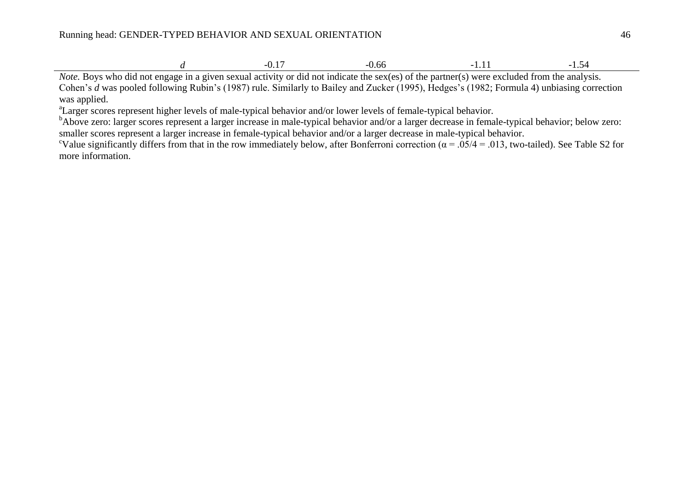| .<br>the contract of the contract of the contract of |  |
|------------------------------------------------------|--|
|------------------------------------------------------|--|

*Note*. Boys who did not engage in a given sexual activity or did not indicate the sex(es) of the partner(s) were excluded from the analysis. Cohen's *d* was pooled following Rubin's (1987) rule. Similarly to Bailey and Zucker (1995), Hedges's (1982; Formula 4) unbiasing correction was applied.

<sup>a</sup>Larger scores represent higher levels of male-typical behavior and/or lower levels of female-typical behavior.

bAbove zero: larger scores represent a larger increase in male-typical behavior and/or a larger decrease in female-typical behavior; below zero: smaller scores represent a larger increase in female-typical behavior and/or a larger decrease in male-typical behavior.

<sup>c</sup>Value significantly differs from that in the row immediately below, after Bonferroni correction ( $\alpha = .05/4 = .013$ , two-tailed). See Table S2 for more information.